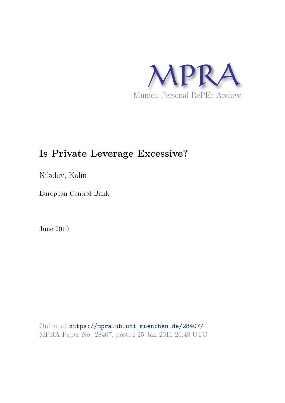

# **Is Private Leverage Excessive?**

Nikolov, Kalin

European Central Bank

June 2010

Online at https://mpra.ub.uni-muenchen.de/28407/ MPRA Paper No. 28407, posted 25 Jan 2011 20:48 UTC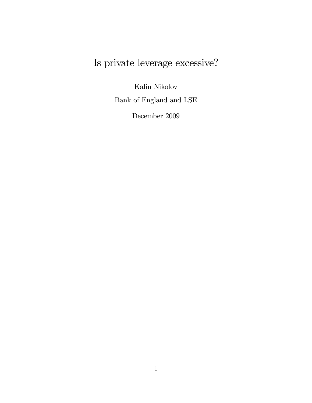# Is private leverage excessive?

Kalin Nikolov

Bank of England and LSE

December 2009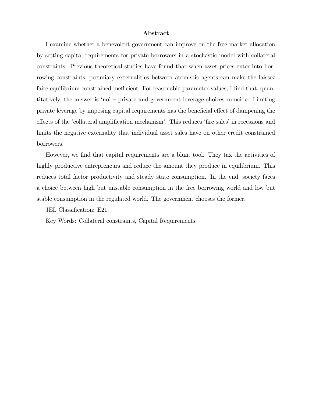#### Abstract

I examine whether a benevolent government can improve on the free market allocation by setting capital requirements for private borrowers in a stochastic model with collateral constraints. Previous theoretical studies have found that when asset prices enter into borrowing constraints, pecuniary externalities between atomistic agents can make the laissez faire equilibrium constrained inefficient. For reasonable parameter values, I find that, quantitatively, the answer is 'no'  $-$  private and government leverage choices coincide. Limiting private leverage by imposing capital requirements has the beneficial effect of dampening the effects of the 'collateral amplification mechanism'. This reduces 'fire sales' in recessions and limits the negative externality that individual asset sales have on other credit constrained borrowers.

However, we find that capital requirements are a blunt tool. They tax the activities of highly productive entrepreneurs and reduce the amount they produce in equilibrium. This reduces total factor productivity and steady state consumption. In the end, society faces a choice between high but unstable consumption in the free borrowing world and low but stable consumption in the regulated world. The government chooses the former.

JEL Classification: E21.

Key Words: Collateral constraints, Capital Requirements.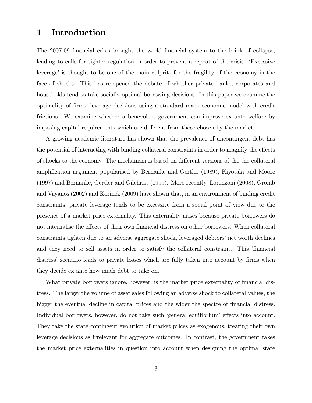# 1 Introduction

The 2007-09 financial crisis brought the world financial system to the brink of collapse, leading to calls for tighter regulation in order to prevent a repeat of the crisis. ëExcessive leverage' is thought to be one of the main culprits for the fragility of the economy in the face of shocks. This has re-opened the debate of whether private banks, corporates and households tend to take socially optimal borrowing decisions. In this paper we examine the optimality of Örmsí leverage decisions using a standard macroeconomic model with credit frictions. We examine whether a benevolent government can improve ex ante welfare by imposing capital requirements which are different from those chosen by the market.

A growing academic literature has shown that the prevalence of uncontingent debt has the potential of interacting with binding collateral constraints in order to magnify the effects of shocks to the economy. The mechanism is based on different versions of the the collateral amplification argument popularised by Bernanke and Gertler (1989), Kiyotaki and Moore (1997) and Bernanke, Gertler and Gilchrist (1999). More recently, Lorenzoni (2008), Gromb and Vayanos (2002) and Korinek (2009) have shown that, in an environment of binding credit constraints, private leverage tends to be excessive from a social point of view due to the presence of a market price externality. This externality arises because private borrowers do not internalise the effects of their own financial distress on other borrowers. When collateral constraints tighten due to an adverse aggregate shock, leveraged debtors' net worth declines and they need to sell assets in order to satisfy the collateral constraint. This 'financial distress' scenario leads to private losses which are fully taken into account by firms when they decide ex ante how much debt to take on.

What private borrowers ignore, however, is the market price externality of financial distress. The larger the volume of asset sales following an adverse shock to collateral values, the bigger the eventual decline in capital prices and the wider the spectre of financial distress. Individual borrowers, however, do not take such 'general equilibrium' effects into account. They take the state contingent evolution of market prices as exogenous, treating their own leverage decisions as irrelevant for aggregate outcomes. In contrast, the government takes the market price externalities in question into account when designing the optimal state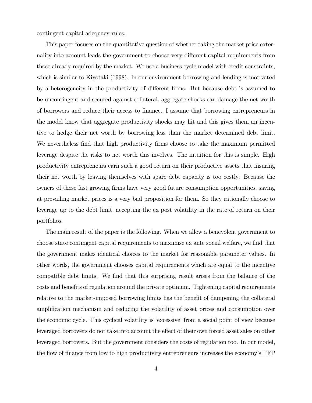contingent capital adequacy rules.

This paper focuses on the quantitative question of whether taking the market price externality into account leads the government to choose very different capital requirements from those already required by the market. We use a business cycle model with credit constraints, which is similar to Kiyotaki (1998). In our environment borrowing and lending is motivated by a heterogeneity in the productivity of different firms. But because debt is assumed to be uncontingent and secured against collateral, aggregate shocks can damage the net worth of borrowers and reduce their access to Önance. I assume that borrowing entrepreneurs in the model know that aggregate productivity shocks may hit and this gives them an incentive to hedge their net worth by borrowing less than the market determined debt limit. We nevertheless find that high productivity firms choose to take the maximum permitted leverage despite the risks to net worth this involves. The intuition for this is simple. High productivity entrepreneurs earn such a good return on their productive assets that insuring their net worth by leaving themselves with spare debt capacity is too costly. Because the owners of these fast growing Örms have very good future consumption opportunities, saving at prevailing market prices is a very bad proposition for them. So they rationally choose to leverage up to the debt limit, accepting the ex post volatility in the rate of return on their portfolios.

The main result of the paper is the following. When we allow a benevolent government to choose state contingent capital requirements to maximise ex ante social welfare, we find that the government makes identical choices to the market for reasonable parameter values. In other words, the government chooses capital requirements which are equal to the incentive compatible debt limits. We find that this surprising result arises from the balance of the costs and benefits of regulation around the private optimum. Tightening capital requirements relative to the market-imposed borrowing limits has the benefit of dampening the collateral amplification mechanism and reducing the volatility of asset prices and consumption over the economic cycle. This cyclical volatility is 'excessive' from a social point of view because leveraged borrowers do not take into account the effect of their own forced asset sales on other leveraged borrowers. But the government considers the costs of regulation too. In our model, the flow of finance from low to high productivity entrepreneurs increases the economy's TFP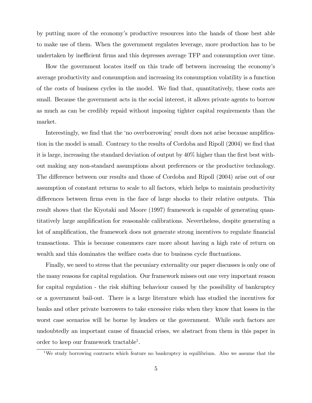by putting more of the economyís productive resources into the hands of those best able to make use of them. When the government regulates leverage, more production has to be undertaken by inefficient firms and this depresses average TFP and consumption over time.

How the government locates itself on this trade off between increasing the economy's average productivity and consumption and increasing its consumption volatility is a function of the costs of business cycles in the model. We find that, quantitatively, these costs are small. Because the government acts in the social interest, it allows private agents to borrow as much as can be credibly repaid without imposing tighter capital requirements than the market.

Interestingly, we find that the 'no overborrowing' result does not arise because amplification in the model is small. Contrary to the results of Cordoba and Ripoll (2004) we find that it is large, increasing the standard deviation of output by  $40\%$  higher than the first best without making any non-standard assumptions about preferences or the productive technology. The difference between our results and those of Cordoba and Ripoll (2004) arise out of our assumption of constant returns to scale to all factors, which helps to maintain productivity differences between firms even in the face of large shocks to their relative outputs. This result shows that the Kiyotaki and Moore (1997) framework is capable of generating quantitatively large amplification for reasonable calibrations. Nevertheless, despite generating a lot of amplification, the framework does not generate strong incentives to regulate financial transactions. This is because consumers care more about having a high rate of return on wealth and this dominates the welfare costs due to business cycle fluctuations.

Finally, we need to stress that the pecuniary externality our paper discusses is only one of the many reasons for capital regulation. Our framework misses out one very important reason for capital regulation - the risk shifting behaviour caused by the possibility of bankruptcy or a government bail-out. There is a large literature which has studied the incentives for banks and other private borrowers to take excessive risks when they know that losses in the worst case scenarios will be borne by lenders or the government. While such factors are undoubtedly an important cause of financial crises, we abstract from them in this paper in order to keep our framework tractable<sup>1</sup>.

<sup>&</sup>lt;sup>1</sup>We study borrowing contracts which feature no bankruptcy in equilibrium. Also we assume that the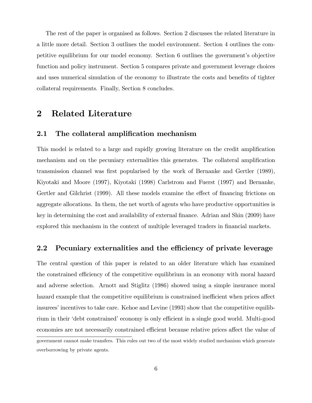The rest of the paper is organised as follows. Section 2 discusses the related literature in a little more detail. Section 3 outlines the model environment. Section 4 outlines the competitive equilibrium for our model economy. Section 6 outlines the government's objective function and policy instrument. Section 5 compares private and government leverage choices and uses numerical simulation of the economy to illustrate the costs and benefits of tighter collateral requirements. Finally, Section 8 concludes.

# 2 Related Literature

### 2.1 The collateral amplification mechanism

This model is related to a large and rapidly growing literature on the credit amplification mechanism and on the pecuniary externalities this generates. The collateral amplification transmission channel was first popularised by the work of Bernanke and Gertler (1989), Kiyotaki and Moore (1997), Kiyotaki (1998) Carlstrom and Fuerst (1997) and Bernanke, Gertler and Gilchrist (1999). All these models examine the effect of financing frictions on aggregate allocations. In them, the net worth of agents who have productive opportunities is key in determining the cost and availability of external finance. Adrian and Shin (2009) have explored this mechanism in the context of multiple leveraged traders in financial markets.

### 2.2 Pecuniary externalities and the efficiency of private leverage

The central question of this paper is related to an older literature which has examined the constrained efficiency of the competitive equilibrium in an economy with moral hazard and adverse selection. Arnott and Stiglitz (1986) showed using a simple insurance moral hazard example that the competitive equilibrium is constrained inefficient when prices affect insurees' incentives to take care. Kehoe and Levine (1993) show that the competitive equilibrium in their 'debt constrained' economy is only efficient in a single good world. Multi-good economies are not necessarily constrained efficient because relative prices affect the value of government cannot make transfers. This rules out two of the most widely studied mechanism which generate overborrowing by private agents.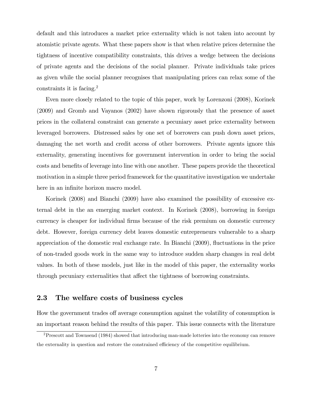default and this introduces a market price externality which is not taken into account by atomistic private agents. What these papers show is that when relative prices determine the tightness of incentive compatibility constraints, this drives a wedge between the decisions of private agents and the decisions of the social planner. Private individuals take prices as given while the social planner recognises that manipulating prices can relax some of the constraints it is facing.<sup>2</sup>

Even more closely related to the topic of this paper, work by Lorenzoni (2008), Korinek (2009) and Gromb and Vayanos (2002) have shown rigorously that the presence of asset prices in the collateral constraint can generate a pecuniary asset price externality between leveraged borrowers. Distressed sales by one set of borrowers can push down asset prices, damaging the net worth and credit access of other borrowers. Private agents ignore this externality, generating incentives for government intervention in order to bring the social costs and benefits of leverage into line with one another. These papers provide the theoretical motivation in a simple three period framework for the quantitative investigation we undertake here in an infinite horizon macro model.

Korinek (2008) and Bianchi (2009) have also examined the possibility of excessive external debt in the an emerging market context. In Korinek (2008), borrowing in foreign currency is cheaper for individual firms because of the risk premium on domestic currency debt. However, foreign currency debt leaves domestic entrepreneurs vulnerable to a sharp appreciation of the domestic real exchange rate. In Bianchi  $(2009)$ , fluctuations in the price of non-traded goods work in the same way to introduce sudden sharp changes in real debt values. In both of these models, just like in the model of this paper, the externality works through pecuniary externalities that affect the tightness of borrowing constraints.

### 2.3 The welfare costs of business cycles

How the government trades of average consumption against the volatility of consumption is an important reason behind the results of this paper. This issue connects with the literature

<sup>&</sup>lt;sup>2</sup>Prescott and Townsend (1984) showed that introducing man-made lotteries into the economy can remove the externality in question and restore the constrained efficiency of the competitive equilibrium.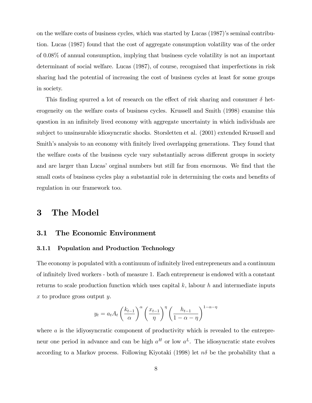on the welfare costs of business cycles, which was started by Lucas  $(1987)$ 's seminal contribution. Lucas (1987) found that the cost of aggregate consumption volatility was of the order of 0.08% of annual consumption, implying that business cycle volatility is not an important determinant of social welfare. Lucas (1987), of course, recognised that imperfections in risk sharing had the potential of increasing the cost of business cycles at least for some groups in society.

This finding spurred a lot of research on the effect of risk sharing and consumer  $\delta$  heterogeneity on the welfare costs of business cycles. Krussell and Smith (1998) examine this question in an infinitely lived economy with aggregate uncertainty in which individuals are subject to unsinsurable idiosyncratic shocks. Storsletten et al. (2001) extended Krussell and Smith's analysis to an economy with finitely lived overlapping generations. They found that the welfare costs of the business cycle vary substantially across different groups in society and are larger than Lucas' orginal numbers but still far from enormous. We find that the small costs of business cycles play a substantial role in determining the costs and benefits of regulation in our framework too.

# 3 The Model

### 3.1 The Economic Environment

#### 3.1.1 Population and Production Technology

The economy is populated with a continuum of infinitely lived entrepreneurs and a continuum of infinitely lived workers - both of measure 1. Each entrepreneur is endowed with a constant returns to scale production function which uses capital  $k$ , labour  $h$  and intermediate inputs x to produce gross output y.

$$
y_t = a_t A_t \left(\frac{k_{t-1}}{\alpha}\right)^{\alpha} \left(\frac{x_{t-1}}{\eta}\right)^{\eta} \left(\frac{h_{t-1}}{1-\alpha-\eta}\right)^{1-\alpha-\eta}
$$

where a is the idivosyncratic component of productivity which is revealed to the entrepreneur one period in advance and can be high  $a^H$  or low  $a^L$ . The idiosyncratic state evolves according to a Markov process. Following Kiyotaki (1998) let  $n\delta$  be the probability that a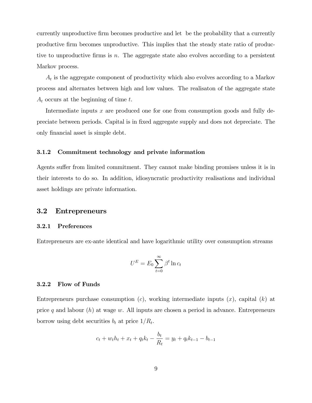currently unproductive firm becomes productive and let be the probability that a currently productive firm becomes unproductive. This implies that the steady state ratio of productive to unproductive firms is  $n$ . The aggregate state also evolves according to a persistent Markov process.

 $A_t$  is the aggregate component of productivity which also evolves according to a Markov process and alternates between high and low values. The realisaton of the aggregate state  $A_t$  occurs at the beginning of time t.

Intermediate inputs x are produced one for one from consumption goods and fully depreciate between periods. Capital is in Öxed aggregate supply and does not depreciate. The only financial asset is simple debt.

#### 3.1.2 Commitment technology and private information

Agents suffer from limited commitment. They cannot make binding promises unless it is in their interests to do so. In addition, idiosyncratic productivity realisations and individual asset holdings are private information.

#### 3.2 Entrepreneurs

#### 3.2.1 Preferences

Entrepreneurs are ex-ante identical and have logarithmic utility over consumption streams

$$
U^E = E_0 \sum_{t=0}^{\infty} \beta^t \ln c_t
$$

#### 3.2.2 Flow of Funds

Entrepreneurs purchase consumption  $(c)$ , working intermediate inputs  $(x)$ , capital  $(k)$  at price q and labour  $(h)$  at wage w. All inputs are chosen a period in advance. Entrepreneurs borrow using debt securities  $b_t$  at price  $1/R_t$ .

$$
c_t + w_t h_t + x_t + q_t k_t - \frac{b_t}{R_t} = y_t + q_t k_{t-1} - b_{t-1}
$$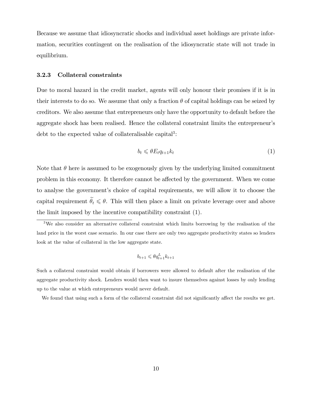Because we assume that idiosyncratic shocks and individual asset holdings are private information, securities contingent on the realisation of the idiosyncratic state will not trade in equilibrium.

#### 3.2.3 Collateral constraints

Due to moral hazard in the credit market, agents will only honour their promises if it is in their interests to do so. We assume that only a fraction  $\theta$  of capital holdings can be seized by creditors. We also assume that entrepreneurs only have the opportunity to default before the aggregate shock has been realised. Hence the collateral constraint limits the entrepreneurís debt to the expected value of collateralisable capital<sup>3</sup>:

$$
b_t \leqslant \theta E_t q_{t+1} k_t \tag{1}
$$

Note that  $\theta$  here is assumed to be exogenously given by the underlying limited commitment problem in this economy. It therefore cannot be affected by the government. When we come to analyse the government's choice of capital requirements, we will allow it to choose the capital requirement  $\tilde{\theta}_t \leq \theta$ . This will then place a limit on private leverage over and above the limit imposed by the incentive compatibility constraint (1).

$$
b_{t+1} \leqslant \theta q_{t+1}^L k_{t+1}
$$

Such a collateral constraint would obtain if borrowers were allowed to default after the realisation of the aggregate productivity shock. Lenders would then want to insure themselves against losses by only lending up to the value at which entrepreneurs would never default.

We found that using such a form of the collateral constraint did not significantly affect the results we get.

<sup>3</sup>We also consider an alternative collateral constraint which limits borrowing by the realisation of the land price in the worst case scenario. In our case there are only two aggregate productivity states so lenders look at the value of collateral in the low aggregate state.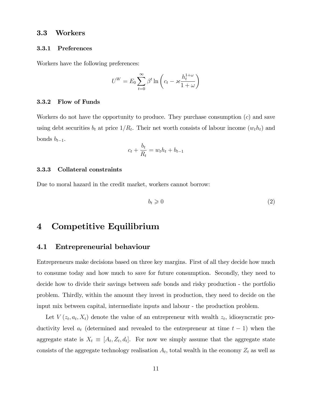#### 3.3 Workers

#### 3.3.1 Preferences

Workers have the following preferences:

$$
U^{W} = E_0 \sum_{t=0}^{\infty} \beta^t \ln \left( c_t - \varkappa \frac{h_t^{1+\omega}}{1+\omega} \right)
$$

#### 3.3.2 Flow of Funds

Workers do not have the opportunity to produce. They purchase consumption  $(c)$  and save using debt securities  $b_t$  at price  $1/R_t$ . Their net worth consists of labour income  $(w_t h_t)$  and bonds  $b_{t-1}$ .

$$
c_t + \frac{b_t}{R_t} = w_t h_t + b_{t-1}
$$

#### 3.3.3 Collateral constraints

Due to moral hazard in the credit market, workers cannot borrow:

$$
b_t \geqslant 0 \tag{2}
$$

# 4 Competitive Equilibrium

### 4.1 Entrepreneurial behaviour

Entrepreneurs make decisions based on three key margins. First of all they decide how much to consume today and how much to save for future consumption. Secondly, they need to decide how to divide their savings between safe bonds and risky production - the portfolio problem. Thirdly, within the amount they invest in production, they need to decide on the input mix between capital, intermediate inputs and labour - the production problem.

Let  $V(z_t, a_t, X_t)$  denote the value of an entrepreneur with wealth  $z_t$ , idiosyncratic productivity level  $a_t$  (determined and revealed to the entrepreneur at time  $t-1$ ) when the aggregate state is  $X_t \equiv [A_t, Z_t, d_t]$ . For now we simply assume that the aggregate state consists of the aggregate technology realisation  $A_t$ , total wealth in the economy  $Z_t$  as well as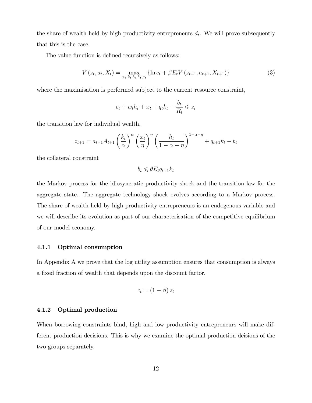the share of wealth held by high productivity entrepreneurs  $d_t$ . We will prove subsequently that this is the case.

The value function is defined recursively as follows:

$$
V(z_t, a_t, X_t) = \max_{x_t, k_t, b_t, h_t, c_t} \{ \ln c_t + \beta E_t V(z_{t+1}, a_{t+1}, X_{t+1}) \}
$$
(3)

where the maximisation is performed subject to the current resource constraint,

$$
c_t + w_t h_t + x_t + q_t k_t - \frac{b_t}{R_t} \leqslant z_t
$$

the transition law for individual wealth,

$$
z_{t+1} = a_{t+1}A_{t+1} \left(\frac{k_t}{\alpha}\right)^{\alpha} \left(\frac{x_t}{\eta}\right)^{\eta} \left(\frac{h_t}{1-\alpha-\eta}\right)^{1-\alpha-\eta} + q_{t+1}k_t - b_t
$$

the collateral constraint

$$
b_t \leqslant \theta E_t q_{t+1} k_t
$$

the Markov process for the idiosyncratic productivity shock and the transition law for the aggregate state. The aggregate technology shock evolves according to a Markov process. The share of wealth held by high productivity entrepreneurs is an endogenous variable and we will describe its evolution as part of our characterisation of the competitive equilibrium of our model economy.

#### 4.1.1 Optimal consumption

In Appendix A we prove that the log utility assumption ensures that consumption is always a fixed fraction of wealth that depends upon the discount factor.

$$
c_t = (1 - \beta) z_t
$$

#### 4.1.2 Optimal production

When borrowing constraints bind, high and low productivity entrepreneurs will make different production decisions. This is why we examine the optimal production deisions of the two groups separately.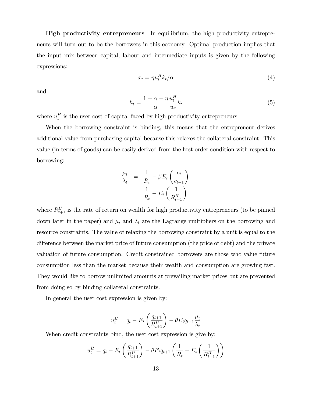**High productivity entrepreneurs** In equilibrium, the high productivity entrepreneurs will turn out to be the borrowers in this economy. Optimal production implies that the input mix between capital, labour and intermediate inputs is given by the following expressions:

$$
x_t = \eta u_t^H k_t / \alpha \tag{4}
$$

and

$$
h_t = \frac{1 - \alpha - \eta}{\alpha} \frac{u_t^H}{w_t} k_t \tag{5}
$$

where  $u_t^H$  is the user cost of capital faced by high productivity entrepreneurs.

When the borrowing constraint is binding, this means that the entrepreneur derives additional value from purchasing capital because this relaxes the collateral constraint. This value (in terms of goods) can be easily derived from the Örst order condition with respect to borrowing:

$$
\frac{\mu_t}{\lambda_t} = \frac{1}{R_t} - \beta E_t \left( \frac{c_t}{c_{t+1}} \right)
$$

$$
= \frac{1}{R_t} - E_t \left( \frac{1}{R_{t+1}^H} \right)
$$

where  $R_{t+1}^H$  is the rate of return on wealth for high productivity entrepreneurs (to be pinned down later in the paper) and  $\mu_t$  and  $\lambda_t$  are the Lagrange multipliers on the borrowing and resource constraints. The value of relaxing the borrowing constraint by a unit is equal to the difference between the market price of future consumption (the price of debt) and the private valuation of future consumption. Credit constrained borrowers are those who value future consumption less than the market because their wealth and consumption are growing fast. They would like to borrow unlimited amounts at prevailing market prices but are prevented from doing so by binding collateral constraints.

In general the user cost expression is given by:

$$
u_t^H = q_t - E_t \left(\frac{q_{t+1}}{R_{t+1}^H}\right) - \theta E_t q_{t+1} \frac{\mu_t}{\lambda_t}
$$

When credit constraints bind, the user cost expression is give by:

$$
u_t^H = q_t - E_t \left( \frac{q_{t+1}}{R_{t+1}^H} \right) - \theta E_t q_{t+1} \left( \frac{1}{R_t} - E_t \left( \frac{1}{R_{t+1}^H} \right) \right)
$$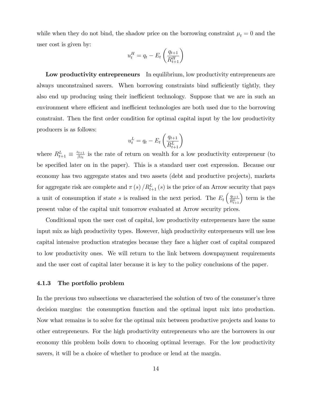while when they do not bind, the shadow price on the borrowing constraint  $\mu_t = 0$  and the user cost is given by:

$$
u_t^H = q_t - E_t \left(\frac{q_{t+1}}{R_{t+1}^H}\right)
$$

Low productivity entrepreneurs In equilibrium, low productivity entrepreneurs are always unconstrained savers. When borrowing constraints bind sufficiently tightly, they also end up producing using their inefficient technology. Suppose that we are in such an environment where efficient and inefficient technologies are both used due to the borrowing constraint. Then the first order condition for optimal capital input by the low productivity producers is as follows:

$$
u_t^L = q_t - E_t \left(\frac{q_{t+1}}{R_{t+1}^L}\right)
$$

where  $R_{t+1}^L \equiv \frac{z_{t+1}}{\beta z_t}$  $\frac{z_{t+1}}{\beta z_t}$  is the rate of return on wealth for a low productivity entrepreneur (to be specified later on in the paper). This is a standard user cost expression. Because our economy has two aggregate states and two assets (debt and productive projects), markets for aggregate risk are complete and  $\pi(s) / R_{t+1}^L(s)$  is the price of an Arrow security that pays a unit of consumption if state s is realised in the next period. The  $E_t\left(\frac{q_{t+1}}{R^L}\right)$  $\frac{q_{t+1}}{R_{t+1}^L}$  term is the present value of the capital unit tomorrow evaluated at Arrow security prices.

Conditional upon the user cost of capital, low productivity entrepreneurs have the same input mix as high productivity types. However, high productivity entrepreneurs will use less capital intensive production strategies because they face a higher cost of capital compared to low productivity ones. We will return to the link between downpayment requirements and the user cost of capital later because it is key to the policy conclusions of the paper.

#### 4.1.3 The portfolio problem

In the previous two subsections we characterised the solution of two of the consumer's three decision margins: the consumption function and the optimal input mix into production. Now what remains is to solve for the optimal mix between productive projects and loans to other entrepreneurs. For the high productivity entrepreneurs who are the borrowers in our economy this problem boils down to choosing optimal leverage. For the low productivity savers, it will be a choice of whether to produce or lend at the margin.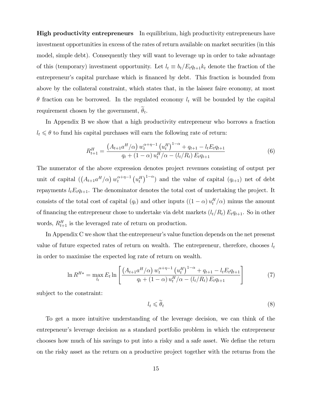**High productivity entrepreneurs** In equilibrium, high productivity entrepreneurs have investment opportunities in excess of the rates of return available on market securities (in this model, simple debt). Consequently they will want to leverage up in order to take advantage of this (temporary) investment opportunity. Let  $l_t \equiv b_t/E_tq_{t+1}k_t$  denote the fraction of the entrepreneur's capital purchase which is financed by debt. This fraction is bounded from above by the collateral constraint, which states that, in the laissez faire economy, at most  $\theta$  fraction can be borrowed. In the regulated economy  $l_t$  will be bounded by the capital requirement chosen by the government,  $\theta_t$ .

In Appendix B we show that a high productivity entrepreneur who borrows a fraction  $l_t \leq \theta$  to fund his capital purchases will earn the following rate of return:

$$
R_{t+1}^{H} = \frac{\left(A_{t+1}a^{H}/\alpha\right)w_t^{\alpha+\eta-1}\left(u_t^H\right)^{1-\alpha} + q_{t+1} - l_t E_t q_{t+1}}{q_t + (1-\alpha)u_t^H/\alpha - (l_t/R_t) E_t q_{t+1}}
$$
(6)

The numerator of the above expression denotes project revenues consisting of output per unit of capital  $((A_{t+1}a^H/\alpha) w_t^{\alpha+\eta-1})$  $\int_t^{\alpha+\eta-1} (u_t^H)^{1-\alpha}$  and the value of capital  $(q_{t+1})$  net of debt repayments  $l_t E_t q_{t+1}$ . The denominator denotes the total cost of undertaking the project. It consists of the total cost of capital  $(q_t)$  and other inputs  $((1 - \alpha) u_t^H / \alpha)$  minus the amount of financing the entrepreneur chose to undertake via debt markets  $(l_t/R_t) E_t q_{t+1}$ . So in other words,  $R_{t+1}^H$  is the leveraged rate of return on production.

In Appendix C we show that the entrepreneur's value function depends on the net presenst value of future expected rates of return on wealth. The entrepreneur, therefore, chooses  $l_t$ in order to maximise the expected log rate of return on wealth.

$$
\ln R^{H*} = \max_{l_t} E_t \ln \left[ \frac{\left( A_{t+1} a^H / \alpha \right) w_t^{\alpha + \eta - 1} \left( u_t^H \right)^{1 - \alpha} + q_{t+1} - l_t E_t q_{t+1}}{q_t + (1 - \alpha) u_t^H / \alpha - (l_t / R_t) E_t q_{t+1}} \right]
$$
(7)

subject to the constraint:

$$
l_t \leqslant \widetilde{\theta}_t \tag{8}
$$

To get a more intuitive understanding of the leverage decision, we can think of the entrepeneur's leverage decision as a standard portfolio problem in which the entrepreneur chooses how much of his savings to put into a risky and a safe asset. We define the return on the risky asset as the return on a productive project together with the returns from the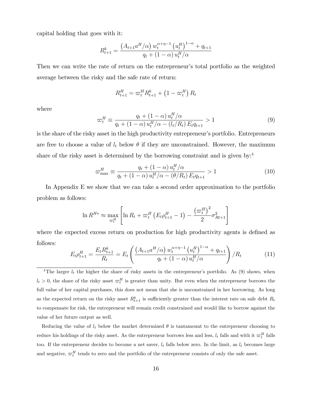capital holding that goes with it:

$$
R_{t+1}^k = \frac{\left( A_{t+1} a^H / \alpha \right) w_t^{\alpha + \eta - 1} \left( u_t^H \right)^{1 - \alpha} + q_{t+1}}{q_t + (1 - \alpha) u_t^H / \alpha}
$$

Then we can write the rate of return on the entrepreneur's total portfolio as the weighted average between the risky and the safe rate of return:

$$
R_{t+1}^H = \varpi_t^H R_{t+1}^k + \left(1 - \varpi_t^H\right) R_t
$$

where

$$
\varpi_t^H \equiv \frac{q_t + (1 - \alpha) u_t^H / \alpha}{q_t + (1 - \alpha) u_t^H / \alpha - (l_t / R_t) E_t q_{t+1}} > 1
$$
\n(9)

is the share of the risky asset in the high productivity entrepreneur's portfolio. Entrepreneurs are free to choose a value of  $l_t$  below  $\theta$  if they are unconstrained. However, the maximum share of the risky asset is determined by the borrowing constraint and is given by:<sup>4</sup>

$$
\varpi_{\max}^H \equiv \frac{q_t + (1 - \alpha) u_t^H / \alpha}{q_t + (1 - \alpha) u_t^H / \alpha - (\theta / R_t) E_t q_{t+1}} > 1
$$
\n(10)

In Appendix E we show that we can take a second order approximation to the portfolio problem as follows:

$$
\ln R^{H*} \approx \max_{\varpi_t^H} \left[ \ln R_t + \varpi_t^H \left( E_t \rho_{t+1}^H - 1 \right) - \frac{\left( \varpi_t^H \right)^2}{2} \sigma_{Rt+1}^2 \right]
$$

where the expected excess return on production for high productivity agents is defined as follows:

$$
E_t \rho_{t+1}^H = \frac{E_t R_{t+1}^k}{R_t} = E_t \left( \frac{\left( A_{t+1} a^H / \alpha \right) w_t^{\alpha + \eta - 1} \left( u_t^H \right)^{1 - \alpha} + q_{t+1}}{q_t + (1 - \alpha) u_t^H / \alpha} \right) / R_t \tag{11}
$$

<sup>4</sup>The larger  $l_t$  the higher the share of risky assets in the entrepreneur's portfolio. As (9) shows, when  $l_t > 0$ , the share of the risky asset  $\sigma_t^H$  is greater than unity. But even when the entrepreneur borrows the full value of her capital purchases, this does not mean that she is unconstrained in her borrowing. As long as the expected return on the risky asset  $R_{t+1}^k$  is sufficiently greater than the interest rate on safe debt  $R_t$ to compensate for risk, the entrepreneur will remain credit constrained and would like to borrow against the value of her future output as well.

Reducing the value of  $l_t$  below the market determined  $\theta$  is tantamount to the entrepreneur choosing to reduce his holdings of the risky asset. As the entrepreneur borrows less and less,  $l_t$  falls and with it  $\varpi_t^H$  falls too. If the entrepreneur decides to become a net saver,  $l_t$  falls below zero. In the limit, as  $l_t$  becomes large and negative,  $\varpi_t^H$  tends to zero and the portfolio of the entrepreneur consists of only the safe asset.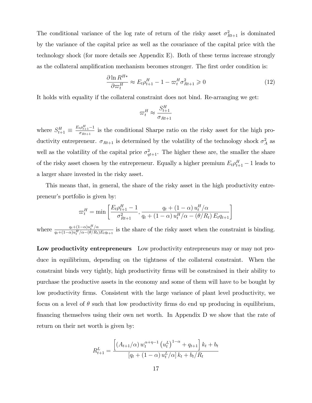The conditional variance of the log rate of return of the risky asset  $\sigma_{Rt+1}^2$  is dominated by the variance of the capital price as well as the covariance of the capital price with the technology shock (for more details see Appendix E). Both of these terms increase strongly as the collateral amplification mechanism becomes stronger. The first order condition is:

$$
\frac{\partial \ln R^{H*}}{\partial \omega_t^H} \approx E_t \rho_{t+1}^H - 1 - \omega_t^H \sigma_{Rt+1}^2 \ge 0 \tag{12}
$$

It holds with equality if the collateral constraint does not bind. Re-arranging we get:

$$
\varpi^H_t \approx \frac{S_{t+1}^H}{\sigma_{Rt+1}}
$$

where  $S_{t+1}^H \equiv \frac{E_t \rho_{t+1}^H - 1}{\sigma_{B_{t+1}}}$  $\frac{t^{pt}+1}{\sigma_{Rt+1}}$  is the conditional Sharpe ratio on the risky asset for the high productivity entrepreneur.  $\sigma_{Rt+1}$  is determined by the volatility of the technology shock  $\sigma_A^2$  as well as the volatility of the capital price  $\sigma_{qt+1}^2$ . The higher these are, the smaller the share of the risky asset chosen by the entrepreneur. Equally a higher premium  $E_t \rho_{t+1}^H - 1$  leads to a larger share invested in the risky asset.

This means that, in general, the share of the risky asset in the high productivity entrepreneur's portfolio is given by:

$$
\varpi_t^H = \min \left[ \frac{E_t \rho_{t+1}^H - 1}{\sigma_{Rt+1}^2}, \frac{q_t + (1 - \alpha) u_t^H / \alpha}{q_t + (1 - \alpha) u_t^H / \alpha - (\theta / R_t) E_t q_{t+1}} \right]
$$

where  $\frac{q_t+(1-\alpha)u_t^H/\alpha}{\alpha+(1-\alpha)u_t^H/\alpha-(\theta/R)}$  $\frac{q_t+(1-\alpha)u_t^H}{q_t+(1-\alpha)u_t^H/\alpha-(\theta/R_t)E_tq_{t+1}}$  is the share of the risky asset when the constraint is binding.

Low productivity entrepreneurs Low productivity entrepreneurs may or may not produce in equilibrium, depending on the tightness of the collateral constraint. When the constraint binds very tightly, high productivity Örms will be constrained in their ability to purchase the productive assets in the economy and some of them will have to be bought by low productivity firms. Consistent with the large variance of plant level productivity, we focus on a level of  $\theta$  such that low productivity firms do end up producing in equilibrium, Önancing themselves using their own net worth. In Appendix D we show that the rate of return on their net worth is given by:

$$
R_{t+1}^{L} = \frac{\left[ \left( A_{t+1}/\alpha \right) w_t^{\alpha+\eta-1} \left( u_t^L \right)^{1-\alpha} + q_{t+1} \right] k_t + b_t}{\left[ q_t + \left( 1 - \alpha \right) u_t^L / \alpha \right] k_t + b_t / R_t}
$$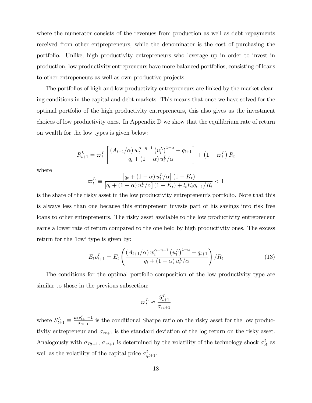where the numerator consists of the revenues from production as well as debt repayments received from other entprepreneurs, while the denominator is the cost of purchasing the portfolio. Unlike, high productivity entrepreneurs who leverage up in order to invest in production, low productivity entrepreneurs have more balanced portfolios, consisting of loans to other entrepeneurs as well as own productive projects.

The portfolios of high and low productivity entrepreneurs are linked by the market clearing conditions in the capital and debt markets. This means that once we have solved for the optimal portfolio of the high productivity entrepreneurs, this also gives us the investment choices of low productivity ones. In Appendix D we show that the equilibrium rate of return on wealth for the low types is given below:

$$
R_{t+1}^{L} = \varpi_{t}^{L} \left[ \frac{\left( A_{t+1}/\alpha \right) w_{t}^{\alpha+\eta-1} \left( u_{t}^{L} \right)^{1-\alpha} + q_{t+1}}{q_{t} + (1-\alpha) u_{t}^{L}/\alpha} \right] + \left( 1 - \varpi_{t}^{L} \right) R_{t}
$$

where

$$
\varpi_t^L \equiv \frac{\left[q_t + (1 - \alpha) u_t^L / \alpha\right] (1 - K_t)}{\left[q_t + (1 - \alpha) u_t^L / \alpha\right] (1 - K_t) + l_t E_t q_{t+1} / R_t} < 1
$$

is the share of the risky asset in the low productivity entrepreneur's portfolio. Note that this is always less than one because this entrepreneur invests part of his savings into risk free loans to other entrepreneurs. The risky asset available to the low productivity entrepreneur earns a lower rate of return compared to the one held by high productivity ones. The excess return for the 'low' type is given by:

$$
E_t \rho_{t+1}^L = E_t \left( \frac{\left( A_{t+1}/\alpha \right) w_t^{\alpha + \eta - 1} \left( u_t^L \right)^{1 - \alpha} + q_{t+1}}{q_t + (1 - \alpha) u_t^L / \alpha} \right) / R_t \tag{13}
$$

The conditions for the optimal portfolio composition of the low productivity type are similar to those in the previous subsection:

$$
\varpi_t^L \approx \frac{S_{t+1}^L}{\sigma_{rt+1}}
$$

where  $S_{t+1}^L \equiv \frac{E_t \rho_{t+1}^L - 1}{\sigma_{rt+1}}$  $\frac{\rho_{t+1}-1}{\sigma_{r_{t+1}}}$  is the conditional Sharpe ratio on the risky asset for the low productivity entrepreneur and  $\sigma_{rt+1}$  is the standard deviation of the log return on the risky asset. Analogously with  $\sigma_{Rt+1}$ ,  $\sigma_{rt+1}$  is determined by the volatility of the technology shock  $\sigma_A^2$  as well as the volatility of the capital price  $\sigma_{qt+1}^2$ .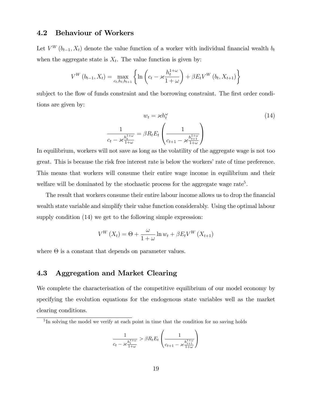# 4.2 Behaviour of Workers

Let  $V^W(b_{t-1}, X_t)$  denote the value function of a worker with individual financial wealth  $b_t$ when the aggregate state is  $X_t$ . The value function is given by:

$$
V^{W}(b_{t-1}, X_{t}) = \max_{c_{t}, h_{t}, b_{t+1}} \left\{ \ln \left( c_{t} - \varkappa \frac{h_{t}^{1+\omega}}{1+\omega} \right) + \beta E_{t} V^{W}(b_{t}, X_{t+1}) \right\}
$$

subject to the flow of funds constraint and the borrowing constraint. The first order conditions are given by:

$$
w_t = \varkappa h_t^{\omega}
$$

$$
\frac{1}{c_t - \varkappa \frac{h_t^{1+\omega}}{1+\omega}} = \beta R_t E_t \left( \frac{1}{c_{t+1} - \varkappa \frac{h_{t+1}^{1+\omega}}{1+\omega}} \right)
$$
(14)

In equilibrium, workers will not save as long as the volatility of the aggregate wage is not too great. This is because the risk free interest rate is below the workers' rate of time preference. This means that workers will consume their entire wage income in equilibrium and their welfare will be dominated by the stochastic process for the aggregate wage rate<sup>5</sup>.

The result that workers consume their entire labour income allows us to drop the financial wealth state variable and simplify their value function considerably. Using the optimal labour supply condition (14) we get to the following simple expression:

$$
V^{W}\left(X_{t}\right) = \Theta + \frac{\omega}{1+\omega} \ln w_{t} + \beta E_{t} V^{W}\left(X_{t+1}\right)
$$

where  $\Theta$  is a constant that depends on parameter values.

### 4.3 Aggregation and Market Clearing

We complete the characterisation of the competitive equilibrium of our model economy by specifying the evolution equations for the endogenous state variables well as the market clearing conditions.

$$
\frac{1}{c_t - \varkappa \frac{h_t^{1+\omega}}{1+\omega}} > \beta R_t E_t \left( \frac{1}{c_{t+1} - \varkappa \frac{h_{t+1}^{1+\omega}}{1+\omega}} \right)
$$

<sup>&</sup>lt;sup>5</sup>In solving the model we verify at each point in time that the condition for no saving holds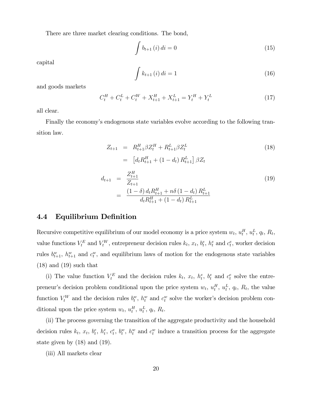There are three market clearing conditions. The bond,

$$
\int b_{t+1}(i) \, di = 0 \tag{15}
$$

capital

$$
\int k_{t+1}(i) \, di = 1 \tag{16}
$$

and goods markets

$$
C_t^H + C_t^L + C_t^W + X_{t+1}^H + X_{t+1}^L = Y_t^H + Y_t^L
$$
\n(17)

all clear.

Finally the economy's endogenous state variables evolve according to the following transition law.

$$
Z_{t+1} = R_{t+1}^H \beta Z_t^H + R_{t+1}^L \beta Z_t^L
$$
\n
$$
= [d_t R_{t+1}^H + (1 - d_t) R_{t+1}^L] \beta Z_t
$$
\n
$$
d_{t+1} = \frac{Z_{t+1}^H}{Z_{t+1}}
$$
\n
$$
= \frac{(1 - \delta) d_t R_{t+1}^H + n\delta (1 - d_t) R_{t+1}^L}{d_t R_{t+1}^H + (1 - d_t) R_{t+1}^L}
$$
\n(19)

### 4.4 Equilibrium Definition

Recursive competitive equilibrium of our model economy is a price system  $w_t$ ,  $u_t^H$ ,  $u_t^L$ ,  $q_t$ ,  $R_t$ , value functions  $V_t^E$  and  $V_t^W$ , entrepreneur decision rules  $k_t$ ,  $x_t$ ,  $b_t^e$ ,  $h_t^e$  and  $c_t^e$ , worker decision rules  $b_{t+1}^w$ ,  $h_{t+1}^w$  and  $c_t^w$ , and equilibrium laws of motion for the endogenous state variables  $(18)$  and  $(19)$  such that

(i) The value function  $V_t^E$  and the decision rules  $k_t$ ,  $x_t$ ,  $h_t^e$ ,  $b_t^e$  and  $c_t^e$  solve the entrepreneur's decision problem conditional upon the price system  $w_t$ ,  $u_t^H$ ,  $u_t^L$ ,  $q_t$ ,  $R_t$ , the value function  $V_t^W$  and the decision rules  $b_t^w$ ,  $h_t^w$  and  $c_t^w$  solve the worker's decision problem conditional upon the price system  $w_t$ ,  $u_t^H$ ,  $u_t^L$ ,  $q_t$ ,  $R_t$ .

(ii) The process governing the transition of the aggregate productivity and the household decision rules  $k_t$ ,  $x_t$ ,  $b_t^e$ ,  $b_t^e$ ,  $c_t^e$ ,  $b_t^w$ ,  $h_t^w$  and  $c_t^w$  induce a transition process for the aggregate state given by (18) and (19).

(iii) All markets clear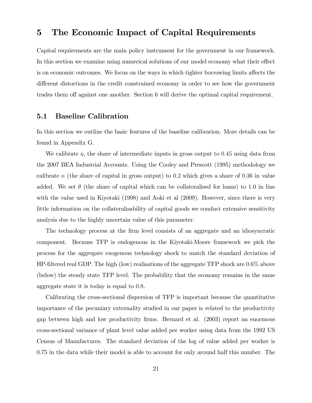# 5 The Economic Impact of Capital Requirements

Capital requirements are the main policy instrument for the government in our framework. In this section we examine using numerical solutions of our model economy what their effect is on economic outcomes. We focus on the ways in which tighter borrowing limits affects the different distortions in the credit constrained economy in order to see how the government trades them off against one another. Section 6 will derive the optimal capital requirement.

### 5.1 Baseline Calibration

In this section we outline the basic features of the baseline calibration. More details can be found in Appendix G.

We calibrate  $\eta$ , the share of intermediate inputs in gross output to 0.45 using data from the 2007 BEA Industrial Accounts. Using the Cooley and Prescott (1995) methodology we calibrate  $\alpha$  (the share of capital in gross output) to 0.2 which gives a share of 0.36 in value added. We set  $\theta$  (the share of capital which can be collateralised for loans) to 1.0 in line with the value used in Kiyotaki (1998) and Aoki et al (2009). However, since there is very little information on the collateralisability of capital goods we conduct extensive sensitivity analysis due to the highly uncertain value of this parameter.

The technology process at the Örm level consists of an aggregate and an idiosyncratic component. Because TFP is endogenous in the Kiyotaki-Moore framework we pick the process for the aggregate exogenous technology shock to match the standard deviation of HP-filtered real GDP. The high (low) realisations of the aggregate TFP shock are  $0.6\%$  above (below) the steady state TFP level. The probability that the economy remains in the same aggregate state it is today is equal to 0.8.

Calibrating the cross-sectional dispersion of TFP is important because the quantitative importance of the pecuniary externality studied in our paper is related to the productivity gap between high and low productivity Örms. Bernard et al. (2003) report an enormous cross-sectional variance of plant level value added per worker using data from the 1992 US Census of Manufactures. The standard deviation of the log of value added per worker is 0.75 in the data while their model is able to account for only around half this number. The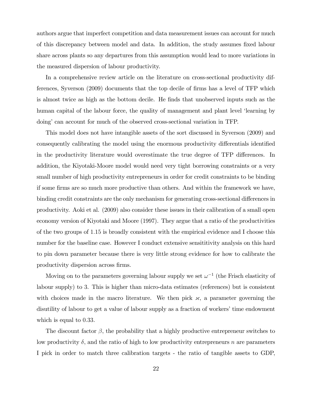authors argue that imperfect competition and data measurement issues can account for much of this discrepancy between model and data. In addition, the study assumes fixed labour share across plants so any departures from this assumption would lead to more variations in the measured dispersion of labour productivity.

In a comprehensive review article on the literature on cross-sectional productivity differences, Syverson (2009) documents that the top decile of Örms has a level of TFP which is almost twice as high as the bottom decile. He Önds that unobserved inputs such as the human capital of the labour force, the quality of management and plant level 'learning by doingí can account for much of the observed cross-sectional variation in TFP.

This model does not have intangible assets of the sort discussed in Syverson (2009) and consequently calibrating the model using the enormous productivity differentials identified in the productivity literature would overestimate the true degree of TFP differences. In addition, the Kiyotaki-Moore model would need very tight borrowing constraints or a very small number of high productivity entrepreneurs in order for credit constraints to be binding if some firms are so much more productive than others. And within the framework we have, binding credit constraints are the only mechanism for generating cross-sectional differences in productivity. Aoki et al. (2009) also consider these issues in their calibration of a small open economy version of Kiyotaki and Moore (1997). They argue that a ratio of the productivities of the two groups of 1:15 is broadly consistent with the empirical evidence and I choose this number for the baseline case. However I conduct extensive sensititivity analysis on this hard to pin down parameter because there is very little strong evidence for how to calibrate the productivity dispersion across firms.

Moving on to the parameters governing labour supply we set  $\omega^{-1}$  (the Frisch elasticity of labour supply) to 3. This is higher than micro-data estimates (references) but is consistent with choices made in the macro literature. We then pick  ${\varkappa}$ , a parameter governing the disutility of labour to get a value of labour supply as a fraction of workers' time endowment which is equal to 0.33.

The discount factor  $\beta$ , the probability that a highly productive entrepreneur switches to low productivity  $\delta$ , and the ratio of high to low productivity entrepreneurs n are parameters I pick in order to match three calibration targets - the ratio of tangible assets to GDP,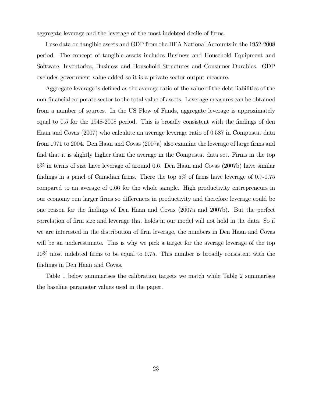aggregate leverage and the leverage of the most indebted decile of firms.

I use data on tangible assets and GDP from the BEA National Accounts in the 1952-2008 period. The concept of tangible assets includes Business and Household Equipment and Software, Inventories, Business and Household Structures and Consumer Durables. GDP excludes government value added so it is a private sector output measure.

Aggregate leverage is defined as the average ratio of the value of the debt liabilities of the non-financial corporate sector to the total value of assets. Leverage measures can be obtained from a number of sources. In the US Flow of Funds, aggregate leverage is approximately equal to 0.5 for the 1948-2008 period. This is broadly consistent with the findings of den Haan and Covas (2007) who calculate an average leverage ratio of 0.587 in Compustat data from 1971 to 2004. Den Haan and Covas  $(2007a)$  also examine the leverage of large firms and find that it is slightly higher than the average in the Compustat data set. Firms in the top 5% in terms of size have leverage of around 0.6. Den Haan and Covas (2007b) have similar findings in a panel of Canadian firms. There the top  $5\%$  of firms have leverage of 0.7-0.75 compared to an average of 0.66 for the whole sample. High productivity entrepreneurs in our economy run larger firms so differences in productivity and therefore leverage could be one reason for the Öndings of Den Haan and Covas (2007a and 2007b). But the perfect correlation of firm size and leverage that holds in our model will not hold in the data. So if we are interested in the distribution of firm leverage, the numbers in Den Haan and Covas will be an underestimate. This is why we pick a target for the average leverage of the top  $10\%$  most indebted firms to be equal to 0.75. This number is broadly consistent with the findings in Den Haan and Covas.

Table 1 below summarises the calibration targets we match while Table 2 summarises the baseline parameter values used in the paper.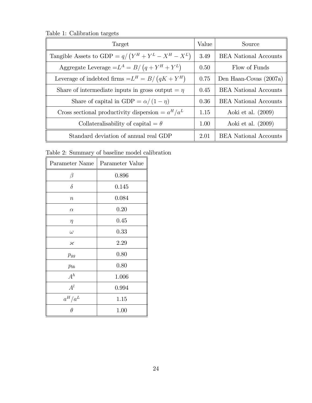Table 1: Calibration targets

| Target                                                | Value | Source                       |
|-------------------------------------------------------|-------|------------------------------|
| Tangible Assets to GDP = $q/(Y^H + Y^L - X^H - X^L)$  | 3.49  | <b>BEA</b> National Accounts |
| Aggregate Leverage $=L^A = B/(q + Y^H + Y^L)$         | 0.50  | Flow of Funds                |
| Leverage of indebted firms $=L^H = B/(qK + Y^H)$      | 0.75  | Den Haan-Covas (2007a)       |
| Share of intermediate inputs in gross output $= \eta$ | 0.45  | <b>BEA</b> National Accounts |
| Share of capital in GDP = $\alpha/(1-\eta)$           | 0.36  | <b>BEA</b> National Accounts |
| Cross sectional productivity dispersion $= aH/aL$     | 1.15  | Aoki et al. $(2009)$         |
| Collateralisability of capital $= \theta$             | 1.00  | Aoki et al. $(2009)$         |
| Standard deviation of annual real GDP                 | 2.01  | <b>BEA</b> National Accounts |

Table 2: Summary of baseline model calibration

| Parameter Name           | Parameter Value |
|--------------------------|-----------------|
| $\beta$                  | 0.896           |
| $\delta$                 | 0.145           |
| $\boldsymbol{n}$         | 0.084           |
| $\alpha$                 | 0.20            |
| $\eta$                   | 0.45            |
| $\omega$                 | 0.33            |
| $\boldsymbol{\varkappa}$ | 2.29            |
| $p_{gg}$                 | 0.80            |
| $p_{bb}$                 | 0.80            |
| $A^h$                    | 1.006           |
| $A^l$                    | 0.994           |
| $a^H/a^L$                | 1.15            |
| $\theta$                 | 1.00            |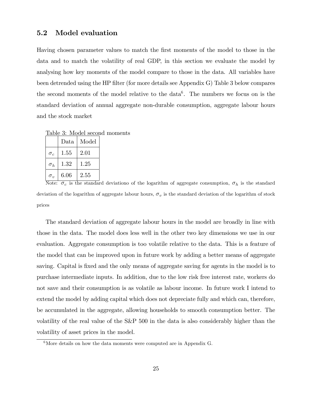### 5.2 Model evaluation

Having chosen parameter values to match the first moments of the model to those in the data and to match the volatility of real GDP, in this section we evaluate the model by analysing how key moments of the model compare to those in the data. All variables have been detrended using the HP filter (for more details see Appendix G) Table 3 below compares the second moments of the model relative to the data<sup>6</sup>. The numbers we focus on is the standard deviation of annual aggregate non-durable consumption, aggregate labour hours and the stock market

Table 3: Model second moments

|                 | Data | Model |
|-----------------|------|-------|
| $\sigma_c$      | 1.55 | 2.01  |
| $\sigma_h$      | 1.32 | 1 25  |
| $\sigma_{\eta}$ | 6.06 | 2.55  |

Note:  $\sigma_c$  is the standard deviationo of the logarithm of aggregate consumption,  $\sigma_h$  is the standard deviation of the logarithm of aggregate labour hours,  $\sigma_v$  is the standard deviation of the logarithm of stock prices

The standard deviation of aggregate labour hours in the model are broadly in line with those in the data. The model does less well in the other two key dimensions we use in our evaluation. Aggregate consumption is too volatile relative to the data. This is a feature of the model that can be improved upon in future work by adding a better means of aggregate saving. Capital is fixed and the only means of aggregate saving for agents in the model is to purchase intermediate inputs. In addition, due to the low risk free interest rate, workers do not save and their consumption is as volatile as labour income. In future work I intend to extend the model by adding capital which does not depreciate fully and which can, therefore, be accumulated in the aggregate, allowing households to smooth consumption better. The volatility of the real value of the S&P 500 in the data is also considerably higher than the volatility of asset prices in the model.

 $6$ More details on how the data moments were computed are in Appendix G.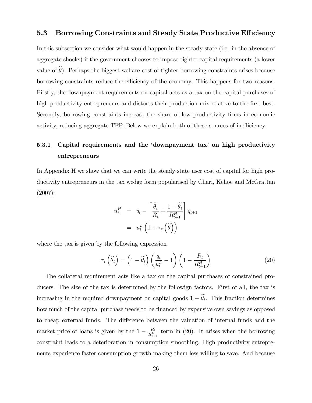### 5.3 Borrowing Constraints and Steady State Productive Efficiency

In this subsection we consider what would happen in the steady state (i.e. in the absence of aggregate shocks) if the government chooses to impose tighter capital requirements (a lower value of  $\theta$ ). Perhaps the biggest welfare cost of tighter borrowing constraints arises because borrowing constraints reduce the efficiency of the economy. This happens for two reasons. Firstly, the downpayment requirements on capital acts as a tax on the capital purchases of high productivity entrepreneurs and distorts their production mix relative to the first best. Secondly, borrowing constraints increase the share of low productivity firms in economic activity, reducing aggregate TFP. Below we explain both of these sources of inefficiency.

# 5.3.1 Capital requirements and the 'downpayment tax' on high productivity entrepreneurs

In Appendix H we show that we can write the steady state user cost of capital for high productivity entrepreneurs in the tax wedge form popularised by Chari, Kehoe and McGrattan (2007):

$$
u_t^H = q_t - \left[\frac{\tilde{\theta}_t}{R_t} + \frac{1 - \tilde{\theta}_t}{R_{t+1}^H}\right] q_{t+1}
$$

$$
= u_t^L \left(1 + \tau_t \left(\tilde{\theta}\right)\right)
$$

where the tax is given by the following expression

$$
\tau_t\left(\widetilde{\theta_t}\right) = \left(1 - \widetilde{\theta_t}\right)\left(\frac{q_t}{u_t^L} - 1\right)\left(1 - \frac{R_t}{R_{t+1}^H}\right) \tag{20}
$$

The collateral requirement acts like a tax on the capital purchases of constrained producers. The size of the tax is determined by the followign factors. First of all, the tax is increasing in the required downpayment on capital goods  $1 - \theta_t$ . This fraction determines how much of the capital purchase needs to be financed by expensive own savings as opposed to cheap external funds. The difference between the valuation of internal funds and the market price of loans is given by the  $1 - \frac{R_t}{R_{t+1}^H}$  term in (20). It arises when the borrowing constraint leads to a deterioration in consumption smoothing. High productivity entrepreneurs experience faster consumption growth making them less willing to save. And because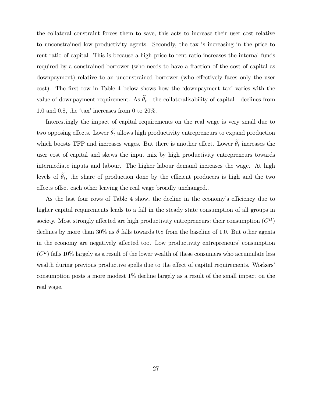the collateral constraint forces them to save, this acts to increase their user cost relative to unconstrained low productivity agents. Secondly, the tax is increasing in the price to rent ratio of capital. This is because a high price to rent ratio increases the internal funds required by a constrained borrower (who needs to have a fraction of the cost of capital as downpayment) relative to an unconstrained borrower (who effectively faces only the user cost). The first row in Table 4 below shows how the 'downpayment tax' varies with the value of downpayment requirement. As  $\tilde{\theta}_t$  - the collateralisability of capital - declines from 1.0 and 0.8, the 'tax' increases from 0 to  $20\%$ .

Interestingly the impact of capital requirements on the real wage is very small due to two opposing effects. Lower  $\tilde{\theta}_t$  allows high productivity entrepreneurs to expand production which boosts TFP and increases wages. But there is another effect. Lower  $\theta_t$  increases the user cost of capital and skews the input mix by high productivity entrepreneurs towards intermediate inputs and labour. The higher labour demand increases the wage. At high levels of  $\theta_t$ , the share of production done by the efficient producers is high and the two effects offset each other leaving the real wage broadly unchanged...

As the last four rows of Table 4 show, the decline in the economy's efficiency due to higher capital requirements leads to a fall in the steady state consumption of all groups in society. Most strongly affected are high productivity entrepreneurs; their consumption  $(C^H)$ declines by more than 30% as  $\tilde{\theta}$  falls towards 0.8 from the baseline of 1.0. But other agents in the economy are negatively affected too. Low productivity entrepreneurs' consumption  $(C<sup>L</sup>)$  falls 10% largely as a result of the lower wealth of these consumers who accumulate less wealth during previous productive spells due to the effect of capital requirements. Workers' consumption posts a more modest 1% decline largely as a result of the small impact on the real wage.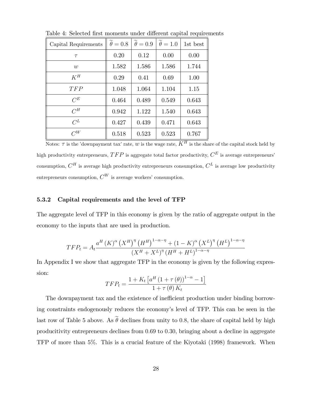| Capital Requirements | $\theta = 0.8$ | $\theta = 0.9$ | $\theta = 1.0$ | 1st best |
|----------------------|----------------|----------------|----------------|----------|
| $\tau$               | 0.20           | 0.12           | 0.00           | 0.00     |
| w                    | 1.582          | 1.586          | 1.586          | 1.744    |
| $K^H$                | 0.29           | 0.41           | 0.69           | 1.00     |
| TFP                  | 1.048          | 1.064          | 1.104          | 1.15     |
| $C^E$                | 0.464          | 0.489          | 0.549          | 0.643    |
| $C^H$                | 0.942          | 1.122          | 1.540          | 0.643    |
| $C^L$                | 0.427          | 0.439          | 0.471          | 0.643    |
| $C^{W}$              | 0.518          | 0.523          | 0.523          | 0.767    |

Table 4: Selected first moments under different capital requirements

Notes:  $\tau$  is the 'downpayment tax' rate, w is the wage rate,  $K^H$  is the share of the capital stock held by high productivity entrepreneurs,  $TFP$  is aggregate total factor productivity,  $C^{E}$  is average entrepreneurs' consumption,  $C^H$  is average high productivity entrepreneurs consumption,  $C^L$  is average low productivity entrepreneurs consumption,  $C^W$  is average workers' consumption.

#### 5.3.2 Capital requirements and the level of TFP

The aggregate level of TFP in this economy is given by the ratio of aggregate output in the economy to the inputs that are used in production.

$$
TFP_{t} = A_{t} \frac{a^{H} (K)^{\alpha} (X^{H})^{\eta} (H^{H})^{1-\alpha-\eta} + (1 - K)^{\alpha} (X^{L})^{\eta} (H^{L})^{1-\alpha-\eta}}{(X^{H} + X^{L})^{\eta} (H^{H} + H^{L})^{1-\alpha-\eta}}
$$

In Appendix I we show that aggregate TFP in the economy is given by the following expression:

$$
TFP_t = \frac{1 + K_t \left[a^H \left(1 + \tau(\theta)\right)^{1-\alpha} - 1\right]}{1 + \tau(\theta) K_t}
$$

The downpayment tax and the existence of inefficient production under binding borrowing constraints endogenously reduces the economy's level of TFP. This can be seen in the last row of Table 5 above. As  $\tilde{\theta}$  declines from unity to 0.8, the share of capital held by high producitivity entrepreneurs declines from 0:69 to 0:30, bringing about a decline in aggregate TFP of more than 5%. This is a crucial feature of the Kiyotaki (1998) framework. When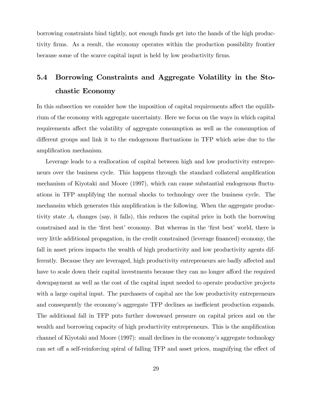borrowing constraints bind tightly, not enough funds get into the hands of the high productivity Örms. As a result, the economy operates within the production possibility frontier because some of the scarce capital input is held by low productivity firms.

# 5.4 Borrowing Constraints and Aggregate Volatility in the Stochastic Economy

In this subsection we consider how the imposition of capital requirements affect the equilibrium of the economy with aggregate uncertainty. Here we focus on the ways in which capital requirements affect the volatility of aggregate consumption as well as the consumption of different groups and link it to the endogenous fluctuations in TFP which arise due to the amplification mechanism.

Leverage leads to a reallocation of capital between high and low productivity entrepreneurs over the business cycle. This happens through the standard collateral amplification mechanism of Kiyotaki and Moore (1997), which can cause substantial endogenous áuctuations in TFP amplifying the normal shocks to technology over the business cycle. The mechansim which generates this amplification is the following. When the aggregate productivity state  $A_t$  changes (say, it falls), this reduces the capital price in both the borrowing constrained and in the 'first best' economy. But whereas in the 'first best' world, there is very little additional propagation, in the credit constrained (leverage financed) economy, the fall in asset prices impacts the wealth of high productivity and low productivity agents differently. Because they are leveraged, high productivity entrepreneurs are badly affected and have to scale down their capital investments because they can no longer afford the required downpayment as well as the cost of the capital input needed to operate productive projects with a large capital input. The purchasers of capital are the low productivity entrepreneurs and consequently the economy's aggregate TFP declines as inefficient production expands. The additional fall in TFP puts further downward pressure on capital prices and on the wealth and borrowing capacity of high productivity entrepreneurs. This is the amplification channel of Kiyotaki and Moore (1997): small declines in the economy's aggregate technology can set off a self-reinforcing spiral of falling TFP and asset prices, magnifying the effect of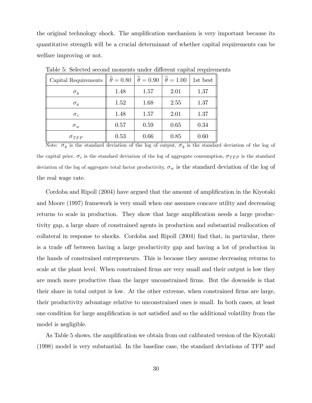the original technology shock. The amplification mechanism is very important because its quantitative strength will be a crucial determinant of whether capital requirements can be welfare improving or not.

| Capital Requirements |      | $\theta = 0.80$   $\theta = 0.90$   $\theta = 1.00$ |      | 1st best |
|----------------------|------|-----------------------------------------------------|------|----------|
| $\sigma_y$           | 1.48 | 1.57                                                | 2.01 | 1.37     |
| $\sigma_q$           | 1.52 | 1.68                                                | 2.55 | 1.37     |
| $\sigma_c$           | 1.48 | 1.57                                                | 2.01 | 1.37     |
| $\sigma_w$           | 0.57 | 0.59                                                | 0.65 | 0.34     |
| $\sigma_{TFP}$       | 0.53 | 0.66                                                | 0.85 | 0.60     |

Table 5: Selected second moments under different capital requirements

Note:  $\sigma_y$  is the standard deviation of the log of output,  $\sigma_q$  is the standard deviation of the log of the capital price,  $\sigma_c$  is the standard deviation of the log of aggregate consumption,  $\sigma_{TFP}$  is the standard deviation of the log of aggregate total factor productivity,  $\sigma_w$  is the standard deviation of the log of the real wage rate.

Cordoba and Ripoll (2004) have argued that the amount of amplification in the Kiyotaki and Moore (1997) framework is very small when one assumes concave utility and decreasing returns to scale in production. They show that large amplification needs a large productivity gap, a large share of constrained agents in production and substantial reallocation of collateral in response to shocks. Cordoba and Ripoll (2004) find that, in particular, there is a trade of between having a large productivity gap and having a lot of production in the hands of constrained entrepreneurs. This is because they assume decreasing returns to scale at the plant level. When constrained firms are very small and their output is low they are much more productive than the larger unconstrained Örms. But the downside is that their share in total output is low. At the other extreme, when constrained firms are large, their productivity advantage relative to unconstrained ones is small. In both cases, at least one condition for large amplification is not satisfied and so the additional volatility from the model is negligible.

As Table 5 shows, the amplification we obtain from out calibrated version of the Kiyotaki (1998) model is very substantial. In the baseline case, the standard deviations of TFP and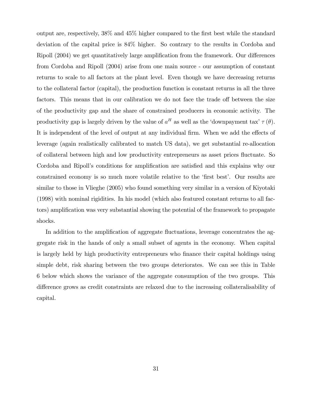output are, respectively, 38% and 45% higher compared to the Örst best while the standard deviation of the capital price is 84% higher. So contrary to the results in Cordoba and Ripoll (2004) we get quantitatively large amplification from the framework. Our differences from Cordoba and Ripoll (2004) arise from one main source - our assumption of constant returns to scale to all factors at the plant level. Even though we have decreasing returns to the collateral factor (capital), the production function is constant returns in all the three factors. This means that in our calibration we do not face the trade off between the size of the productivity gap and the share of constrained producers in economic activity. The productivity gap is largely driven by the value of  $a^H$  as well as the 'downpayment tax'  $\tau(\theta)$ . It is independent of the level of output at any individual firm. When we add the effects of leverage (again realistically calibrated to match US data), we get substantial re-allocation of collateral between high and low productivity entrepreneurs as asset prices áuctuate. So Cordoba and Ripoll's conditions for amplification are satisfied and this explains why our constrained economy is so much more volatile relative to the 'first best'. Our results are similar to those in Vlieghe (2005) who found something very similar in a version of Kiyotaki (1998) with nominal rigidities. In his model (which also featured constant returns to all factors) amplification was very substantial showing the potential of the framework to propagate shocks.

In addition to the amplification of aggregate fluctuations, leverage concentrates the aggregate risk in the hands of only a small subset of agents in the economy. When capital is largely held by high productivity entrepreneurs who finance their capital holdings using simple debt, risk sharing between the two groups deteriorates. We can see this in Table 6 below which shows the variance of the aggregate consumption of the two groups. This difference grows as credit constraints are relaxed due to the increasing collateralisability of capital.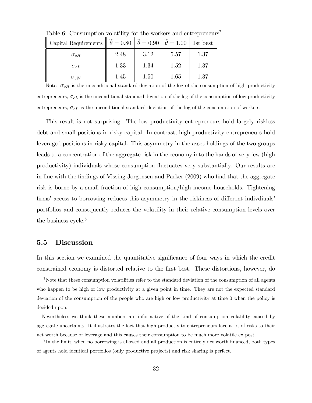| Capital Requirements $\ \theta = 0.80 \ \theta = 0.90 \ \theta = 1.00 \ $ |      |      |      | 1st best |
|---------------------------------------------------------------------------|------|------|------|----------|
| $\sigma_{cH}$                                                             | 2.48 | 3.12 | 5.57 | 1.37     |
| $\sigma_{cL}$                                                             | 1.33 | 1.34 | 1.52 | 1.37     |
| $\sigma_{cW}$                                                             | 1.45 | 1.50 | 1.65 | 1.37     |

Table 6: Consumption volatility for the workers and entrepreneurs<sup>7</sup>

Note:  $\sigma_{cH}$  is the unconditional standard deviation of the log of the consumption of high productivity entrepreneurs,  $\sigma_{cL}$  is the unconditional standard deviation of the log of the consumption of low productivity entrepreneurs,  $\sigma_{cL}$  is the unconditional standard deviation of the log of the consumption of workers.

This result is not surprising. The low productivity entrepreneurs hold largely riskless debt and small positions in risky capital. In contrast, high productivity entrepreneurs hold leveraged positions in risky capital. This asymmetry in the asset holdings of the two groups leads to a concentration of the aggregate risk in the economy into the hands of very few (high productivity) individuals whose consumption áuctuates very substantially. Our results are in line with the findings of Vissing-Jorgensen and Parker (2009) who find that the aggregate risk is borne by a small fraction of high consumption/high income households. Tightening firms' access to borrowing reduces this asymmetry in the riskiness of different indivdiuals' portfolios and consequently reduces the volatility in their relative consumption levels over the business cycle. $8$ 

### 5.5 Discussion

In this section we examined the quantitative significance of four ways in which the credit constrained economy is distorted relative to the Örst best. These distortions, however, do

<sup>7</sup>Note that these consumption volatilities refer to the standard deviation of the consumption of all agents who happen to be high or low productivity at a given point in time. They are not the expected standard deviation of the consumption of the people who are high or low productivity at time 0 when the policy is decided upon.

Nevertheless we think these numbers are informative of the kind of consumption volatility caused by aggregate uncertainty. It illustrates the fact that high productivity entrepreneurs face a lot of risks to their net worth because of leverage and this causes their consumption to be much more volatile ex post.

<sup>&</sup>lt;sup>8</sup>In the limit, when no borrowing is allowed and all production is entirely net worth financed, both types of agents hold identical portfolios (only productive projects) and risk sharing is perfect.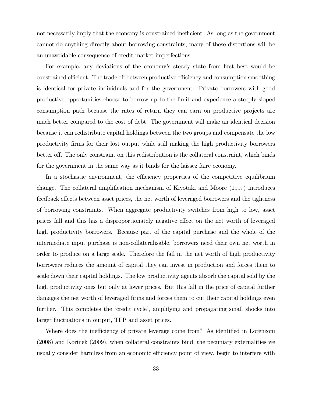not necessarily imply that the economy is constrained inefficient. As long as the government cannot do anything directly about borrowing constraints, many of these distortions will be an unavoidable consequence of credit market imperfections.

For example, any deviations of the economy's steady state from first best would be constrained efficient. The trade off between productive efficiency and consumption smoothing is identical for private individuals and for the government. Private borrowers with good productive opportunities choose to borrow up to the limit and experience a steeply sloped consumption path because the rates of return they can earn on productive projects are much better compared to the cost of debt. The government will make an identical decision because it can redistribute capital holdings between the two groups and compensate the low productivity Örms for their lost output while still making the high productivity borrowers better off. The only constraint on this redistribution is the collateral constraint, which binds for the government in the same way as it binds for the laissez faire economy.

In a stochastic environment, the efficiency properties of the competitive equilibrium change. The collateral amplification mechanism of Kiyotaki and Moore (1997) introduces feedback effects between asset prices, the net worth of leveraged borrowers and the tightness of borrowing constraints. When aggregate productivity switches from high to low, asset prices fall and this has a disproportionately negative effect on the net worth of leveraged high productivity borrowers. Because part of the capital purchase and the whole of the intermediate input purchase is non-collateralisable, borrowers need their own net worth in order to produce on a large scale. Therefore the fall in the net worth of high productivity borrowers reduces the amount of capital they can invest in production and forces them to scale down their capital holdings. The low productivity agents absorb the capital sold by the high productivity ones but only at lower prices. But this fall in the price of capital further damages the net worth of leveraged firms and forces them to cut their capital holdings even further. This completes the 'credit cycle', amplifying and propagating small shocks into larger fluctuations in output, TFP and asset prices.

Where does the inefficiency of private leverage come from? As identified in Lorenzoni (2008) and Korinek (2009), when collateral constraints bind, the pecuniary externalities we usually consider harmless from an economic efficiency point of view, begin to interfere with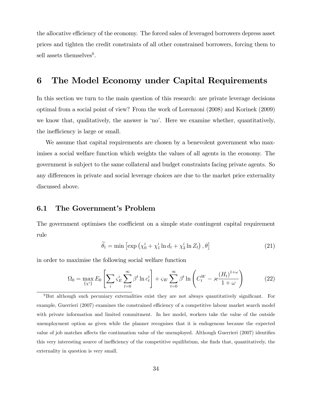the allocative efficiency of the economy. The forced sales of leveraged borrowers depress asset prices and tighten the credit constraints of all other constrained borrowers, forcing them to sell assets themselves<sup>9</sup>.

# 6 The Model Economy under Capital Requirements

In this section we turn to the main question of this research: are private leverage decisions optimal from a social point of view? From the work of Lorenzoni (2008) and Korinek (2009) we know that, qualitatively, the answer is 'no'. Here we examine whether, quantitatively, the inefficiency is large or small.

We assume that capital requirements are chosen by a benevolent government who maximises a social welfare function which weights the values of all agents in the economy. The government is subject to the same collateral and budget constraints facing private agents. So any differences in private and social leverage choices are due to the market price externality discussed above.

### 6.1 The Government's Problem

The government optimises the coefficient on a simple state contingent capital requirement rule

$$
\widetilde{\theta_t} = \min \left[ \exp \left( \chi_0^i + \chi_1^i \ln d_t + \chi_2^i \ln Z_t \right), \theta \right] \tag{21}
$$

in order to maximise the following social welfare function

$$
\Omega_0 = \max_{\{x^i\}} E_0 \left[ \sum_i \varsigma_E^i \sum_{t=0}^\infty \beta^t \ln c_t^i \right] + \varsigma_W \sum_{t=0}^\infty \beta^t \ln \left( C_t^W - \varkappa \frac{(H_t)^{1+\omega}}{1+\omega} \right) \tag{22}
$$

<sup>&</sup>lt;sup>9</sup>But although such pecuniary externalities exist they are not always quantitatively significant. For example, Guerrieri (2007) examines the constrained efficiency of a competitive labour market search model with private information and limited commitment. In her model, workers take the value of the outside unemployment option as given while the planner recognises that it is endogenous because the expected value of job matches affects the continuation value of the unemployed. Although Guerrieri (2007) identifies this very interesting source of inefficiency of the competitive equilibrium, she finds that, quantitatively, the externality in question is very small.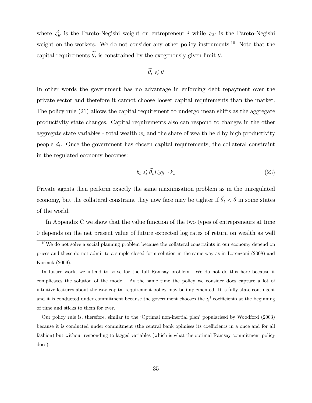where  $\zeta_E^i$  is the Pareto-Negishi weight on entrepreneur i while  $\zeta_W$  is the Pareto-Negishi weight on the workers. We do not consider any other policy instruments.<sup>10</sup> Note that the capital requirements  $\theta_t$  is constrained by the exogenously given limit  $\theta$ .

$$
\theta_t \leqslant \theta
$$

In other words the government has no advantage in enforcing debt repayment over the private sector and therefore it cannot choose looser capital requirements than the market. The policy rule (21) allows the capital requirement to undergo mean shifts as the aggregate productivity state changes. Capital requirements also can respond to changes in the other aggregate state variables - total wealth  $w_t$  and the share of wealth held by high productivity people  $d_t$ . Once the government has chosen capital requirements, the collateral constraint in the regulated economy becomes:

$$
b_t \leq \theta_t E_t q_{t+1} k_t \tag{23}
$$

Private agents then perform exactly the same maximisation problem as in the unregulated economy, but the collateral constraint they now face may be tighter if  $\tilde{\theta}_t < \theta$  in some states of the world.

In Appendix C we show that the value function of the two types of entrepreneurs at time 0 depends on the net present value of future expected log rates of return on wealth as well

 $10$ We do not solve a social planning problem because the collateral constraints in our economy depend on prices and these do not admit to a simple closed form solution in the same way as in Lorenzoni (2008) and Korinek (2009).

In future work, we intend to solve for the full Ramsay problem. We do not do this here because it complicates the solution of the model. At the same time the policy we consider does capture a lot of intuitive features about the way capital requirement policy may be implemented. It is fully state contingent and it is conducted under commitment because the government chooses the  $\chi^i$  coefficients at the beginning of time and sticks to them for ever.

Our policy rule is, therefore, similar to the ëOptimal non-inertial planí popularised by Woodford (2003) because it is conducted under commitment (the central bank opimises its coefficients in a once and for all fashion) but without responding to lagged variables (which is what the optimal Ramsay commitment policy does).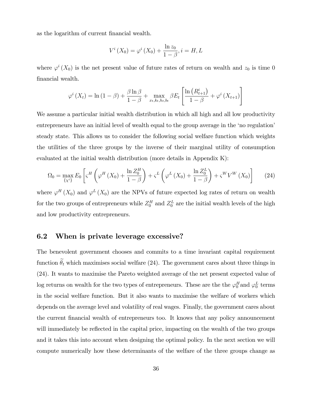as the logarithm of current financial wealth.

$$
V^{i}\left(X_{0}\right)=\varphi^{i}\left(X_{0}\right)+\frac{\ln z_{0}}{1-\beta}, i=H, L
$$

where  $\varphi^{i}(X_{0})$  is the net present value of future rates of return on wealth and  $z_{0}$  is time 0 financial wealth.

$$
\varphi^{i}\left(X_{t}\right) = \ln\left(1-\beta\right) + \frac{\beta \ln \beta}{1-\beta} + \max_{x_{t}, k_{t}, h_{t}, b_{t}} \beta E_{t} \left[\frac{\ln\left(R_{t+1}^{i}\right)}{1-\beta} + \varphi^{i}\left(X_{t+1}\right)\right]
$$

We assume a particular initial wealth distribution in which all high and all low productivity entrepreneurs have an initial level of wealth equal to the group average in the 'no regulation steady state. This allows us to consider the following social welfare function which weights the utilities of the three groups by the inverse of their marginal utility of consumption evaluated at the initial wealth distribution (more details in Appendix K):

$$
\Omega_0 = \max_{\{x^i\}} E_0 \left[ \varsigma^H \left( \varphi^H \left( X_0 \right) + \frac{\ln Z_0^H}{1 - \beta} \right) + \varsigma^L \left( \varphi^L \left( X_0 \right) + \frac{\ln Z_0^L}{1 - \beta} \right) + \varsigma^W V^W \left( X_0 \right) \right] \tag{24}
$$

where  $\varphi^H(X_0)$  and  $\varphi^L(X_0)$  are the NPVs of future expected log rates of return on wealth for the two groups of entrepreneurs while  $Z_0^H$  and  $Z_0^L$  are the initial wealth levels of the high and low productivity entrepreneurs.

# 6.2 When is private leverage excessive?

The benevolent government chooses and commits to a time invariant capital requirement function  $\tilde{\theta}_t$  which maximises social welfare (24). The government cares about three things in (24). It wants to maximise the Pareto weighted average of the net present expected value of log returns on wealth for the two types of entrepreneurs. These are the the  $\varphi_0^H$  and  $\varphi_0^L$  terms in the social welfare function. But it also wants to maximise the welfare of workers which depends on the average level and volatility of real wages. Finally, the government cares about the current financial wealth of entrepreneurs too. It knows that any policy announcement will immediately be reflected in the capital price, impacting on the wealth of the two groups and it takes this into account when designing the optimal policy. In the next section we will compute numerically how these determinants of the welfare of the three groups change as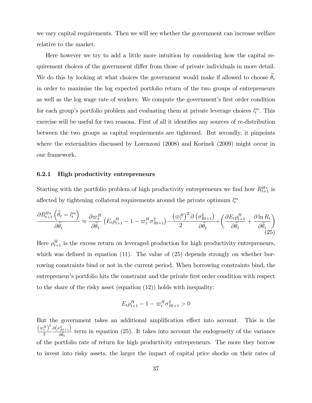we vary capital requirements. Then we will see whether the government can increase welfare relative to the market.

Here however we try to add a little more intuition by considering how the capital requirement choices of the government differ from those of private individuals in more detail. We do this by looking at what choices the government would make if allowed to choose  $\theta_t$ in order to maximise the log expected portfolio return of the two groups of entrepreneurs as well as the log wage rate of workers. We compute the government's first order condition for each group's portfolio problem and evaluating them at private leverage choices  $l_t^m$ . This exercise will be useful for two reasons. First of all it identifies any sources of re-distribution between the two groups as capital requirements are tightened. But secondly, it pinpoints where the externalities discussed by Lorenzoni (2008) and Korinek (2009) might occur in our framework.

#### 6.2.1 High productivity entrepreneurs

Starting with the portfolio problem of high productivity entrepreneurs we find how  $R_{t+1}^{H*}$  is affected by tightening collateral requirements around the private optimum  $l_t^m$ 

$$
\frac{\partial R_{t+1}^{H*} \left( \widetilde{\theta}_{t} = l_t^m \right)}{\partial \widetilde{\theta}_{t}} \approx \frac{\partial \varpi_t^H}{\partial \widetilde{\theta}_{t}} \left( E_t \rho_{t+1}^H - 1 - \varpi_t^H \sigma_{Rt+1}^2 \right) - \frac{\left( \varpi_t^H \right)^2}{2} \frac{\partial \left( \sigma_{Rt+1}^2 \right)}{\partial \widetilde{\theta}_{t}} + \left( \frac{\partial E_t \rho_{t+1}^H}{\partial \widetilde{\theta}_{t}} + \frac{\partial \ln R_t}{\partial \widetilde{\theta}_{t}} \right) \tag{25}
$$

Here  $\rho_{t+1}^H$  is the excess return on leveraged production for high productivity entrepreneurs, which was defined in equation  $(11)$ . The value of  $(25)$  depends strongly on whether borrowing constraints bind or not in the current period. When borrowing constraints bind, the entrepreneur's portfolio hits the constraint and the private first order condition with respect to the share of the risky asset (equation (12)) holds with inequality:

$$
E_t \rho_{t+1}^H - 1 - \varpi_t^H \sigma_{Rt+1}^2 > 0
$$

But the government takes an additional amplification effect into account. This is the  $\left(\varpi_t^H\right)^2$ 2  $\partial\big(\sigma_{Rt+1}^2\big)$  $\frac{Rt+1}{\partial \widetilde{\theta}_t}$  term in equation (25). It takes into account the endogeneity of the variance of the portfolio rate of return for high productivity entrepreneurs. The more they borrow to invest into risky assets, the larger the impact of capital price shocks on their rates of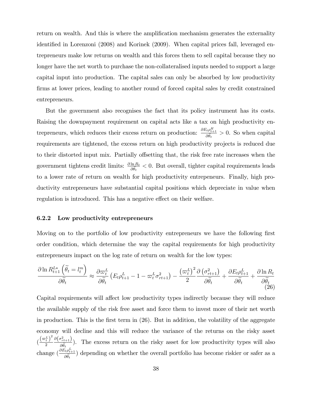return on wealth. And this is where the amplification mechanism generates the externality identified in Lorenzoni (2008) and Korinek (2009). When capital prices fall, leveraged entrepreneurs make low returns on wealth and this forces them to sell capital because they no longer have the net worth to purchase the non-collateralised inputs needed to support a large capital input into production. The capital sales can only be absorbed by low productivity firms at lower prices, leading to another round of forced capital sales by credit constrained entrepreneurs.

But the government also recognises the fact that its policy instrument has its costs. Raising the downpayment requirement on capital acts like a tax on high productivity entrepreneurs, which reduces their excess return on production:  $\frac{\partial E_t \rho_{t+1}^H}{\partial \tilde{\theta}_t} > 0$ . So when capital requirements are tightened, the excess return on high productivity projects is reduced due to their distorted input mix. Partially offsetting that, the risk free rate increases when the government tightens credit limits:  $\frac{\partial \ln R_t}{\partial \hat{\theta}_t} < 0$ . But overall, tighter capital requirements leads to a lower rate of return on wealth for high productivity entrepeneurs. Finally, high productivity entrepreneurs have substantial capital positions which depreciate in value when regulation is introduced. This has a negative effect on their welfare.

#### 6.2.2 Low productivity entrepreneurs

Moving on to the portfolio of low productivity entrepreneurs we have the following first order condition, which determine the way the capital requirements for high productivity entrepreneurs impact on the log rate of return on wealth for the low types:

$$
\frac{\partial \ln R_{t+1}^{L*} \left( \tilde{\theta}_{t} = l_t^m \right)}{\partial \tilde{\theta}_{t}} \approx \frac{\partial \varpi_t^L}{\partial \tilde{\theta}_{t}} \left( E_t \rho_{t+1}^L - 1 - \varpi_t^L \sigma_{rt+1}^2 \right) - \frac{\left( \varpi_t^L \right)^2}{2} \frac{\partial \left( \sigma_{rt+1}^2 \right)}{\partial \tilde{\theta}_{t}} + \frac{\partial E_t \rho_{t+1}^L}{\partial \tilde{\theta}_{t}} + \frac{\partial \ln R_t}{\partial \tilde{\theta}_{t}} \tag{26}
$$

Capital requirements will affect low productivity types indirectly because they will reduce the available supply of the risk free asset and force them to invest more of their net worth in production. This is the first term in  $(26)$ . But in addition, the volatility of the aggregate economy will decline and this will reduce the variance of the returns on the risky asset  $\left(\frac{\left(\varpi_t^L\right)^2}{2}\right)$ 2  $\partial\big(\sigma_{rt+1}^2\big)$  $\frac{(\gamma t+1)}{\partial \widetilde{\theta}_t}$ ). The excess return on the risky asset for low productivity types will also change  $\left(\frac{\partial E_t \rho_{t+1}^L}{\partial \tilde{\theta}_t}\right)$  depending on whether the overall portfolio has become riskier or safer as a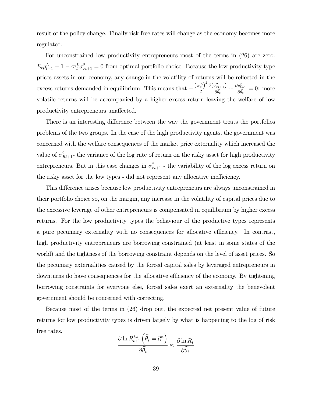result of the policy change. Finally risk free rates will change as the economy becomes more regulated.

For unconstrained low productivity entrepreneurs most of the terms in (26) are zero.  $E_t \rho_{t+1}^L - 1 - \varpi_t^L \sigma_{rt+1}^2 = 0$  from optimal portfolio choice. Because the low productivity type prices assets in our economy, any change in the volatility of returns will be reflected in the excess returns demanded in equilibrium. This means that  $-\frac{(\omega_t^L)^2}{2}$ 2  $\partial\big(\sigma_{rt+1}^2\big)$  $\frac{\partial \rho_{t+1}^2}{\partial \tilde{\theta}_t} + \frac{\partial \rho_{t+1}^L}{\partial \tilde{\theta}_t} = 0$ : more volatile returns will be accompanied by a higher excess return leaving the welfare of low productivity entrepreneurs unaffected.

There is an interesting difference between the way the government treats the portfolios problems of the two groups. In the case of the high productivity agents, the government was concerned with the welfare consequences of the market price externality which increased the value of  $\sigma_{Rt+1}^2$  the variance of the log rate of return on the risky asset for high productivity entrepreneurs. But in this case changes in  $\sigma_{rt+1}^2$  - the variability of the log excess return on the risky asset for the low types - did not represent any allocative inefficiency.

This difference arises because low productivity entrepreneurs are always unconstrained in their portfolio choice so, on the margin, any increase in the volatility of capital prices due to the excessive leverage of other entrepreneurs is compensated in equilibrium by higher excess returns. For the low productivity types the behaviour of the productive types represents a pure pecuniary externality with no consequences for allocative efficiency. In contrast, high productivity entrepreneurs are borrowing constrained (at least in some states of the world) and the tightness of the borrowing constraint depends on the level of asset prices. So the pecuniary externalities caused by the forced capital sales by leveraged entrepreneurs in downturns do have consequences for the allocative efficiency of the economy. By tightening borrowing constraints for everyone else, forced sales exert an externality the benevolent government should be concerned with correcting.

Because most of the terms in (26) drop out, the expected net present value of future returns for low productivity types is driven largely by what is happening to the log of risk free rates.

$$
\frac{\partial \ln R^{L*}_{t+1} \left( \widetilde{\theta_t} = l^m_t \right)}{\partial \widetilde{\theta_t}} \approx \frac{\partial \ln R_t}{\partial \widetilde{\theta_t}}
$$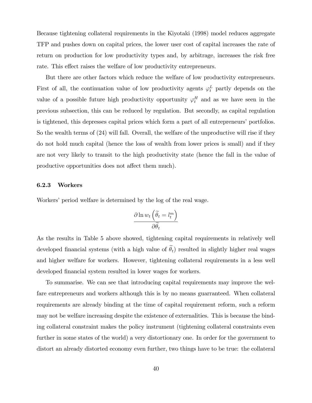Because tightening collateral requirements in the Kiyotaki (1998) model reduces aggregate TFP and pushes down on capital prices, the lower user cost of capital increases the rate of return on production for low productivity types and, by arbitrage, increases the risk free rate. This effect raises the welfare of low productivity entrepreneurs.

But there are other factors which reduce the welfare of low productivity entrepreneurs. First of all, the continuation value of low productivity agents  $\varphi_t^L$  partly depends on the value of a possible future high productivity opportunity  $\varphi_t^H$  and as we have seen in the previous subsection, this can be reduced by regulation. But secondly, as capital regulation is tightened, this depresses capital prices which form a part of all entrepreneurs' portfolios. So the wealth terms of (24) will fall. Overall, the welfare of the unproductive will rise if they do not hold much capital (hence the loss of wealth from lower prices is small) and if they are not very likely to transit to the high productivity state (hence the fall in the value of productive opportunities does not affect them much).

#### 6.2.3 Workers

Workers' period welfare is determined by the log of the real wage.

$$
\frac{\partial \ln w_t\left(\widetilde{\theta_t} = l_t^m\right)}{\partial \widetilde{\theta_t}}
$$

As the results in Table 5 above showed, tightening capital requirements in relatively well developed financial systems (with a high value of  $\tilde{\theta}_t$ ) resulted in slightly higher real wages and higher welfare for workers. However, tightening collateral requirements in a less well developed financial system resulted in lower wages for workers.

To summarise. We can see that introducing capital requirements may improve the welfare entrepreneurs and workers although this is by no means guarranteed. When collateral requirements are already binding at the time of capital requirement reform, such a reform may not be welfare increasing despite the existence of externalities. This is because the binding collateral constraint makes the policy instrument (tightening collateral constraints even further in some states of the world) a very distortionary one. In order for the government to distort an already distorted economy even further, two things have to be true: the collateral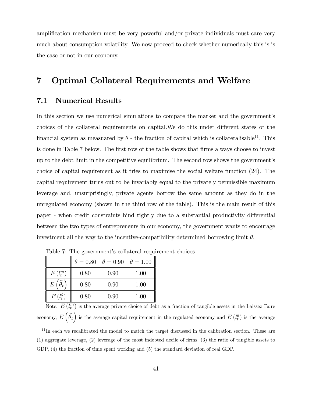amplification mechanism must be very powerful and/or private individuals must care very much about consumption volatility. We now proceed to check whether numerically this is is the case or not in our economy.

# 7 Optimal Collateral Requirements and Welfare

### 7.1 Numerical Results

In this section we use numerical simulations to compare the market and the government's choices of the collateral requirements on capital. We do this under different states of the financial system as measuared by  $\theta$  - the fraction of capital which is collateralisable<sup>11</sup>. This is done in Table 7 below. The first row of the table shows that firms always choose to invest up to the debt limit in the competitive equilibrium. The second row shows the governmentís choice of capital requirement as it tries to maximise the social welfare function (24). The capital requirement turns out to be invariably equal to the privately permissible maximum leverage and, unsurprisingly, private agents borrow the same amount as they do in the unregulated economy (shown in the third row of the table). This is the main result of this paper - when credit constraints bind tightly due to a substantial productivity differential between the two types of entrepreneurs in our economy, the government wants to encourage investment all the way to the incentive-compatibility determined borrowing limit  $\theta$ .

|                                      | $\theta = 0.80$ | $\theta = 0.90$ | $\theta = 1.00$ |
|--------------------------------------|-----------------|-----------------|-----------------|
| $E(l_t^m)$                           | 0.80            | 0.90            | 1.00            |
| $E\left(\widetilde{\theta_t}\right)$ | 0.80            | 0.90            | 1.00            |
| $E(l_t^g)$                           | 0.80            | 0.90            | 1.00            |

Table 7: The government's collateral requirement choices

Note:  $E(l_i^m)$  is the average private choice of debt as a fraction of tangible assets in the Laissez Faire economy,  $E\left(\widetilde{\theta_t}\right)$  is the average capital requirement in the regulated economy and  $E\left(l^g_t\right)$  $\binom{g}{t}$  is the average

<sup>&</sup>lt;sup>11</sup>In each we recalibrated the model to match the target discussed in the calibration section. These are  $(1)$  aggregate leverage,  $(2)$  leverage of the most indebted decile of firms,  $(3)$  the ratio of tangible assets to GDP, (4) the fraction of time spent working and (5) the standard deviation of real GDP.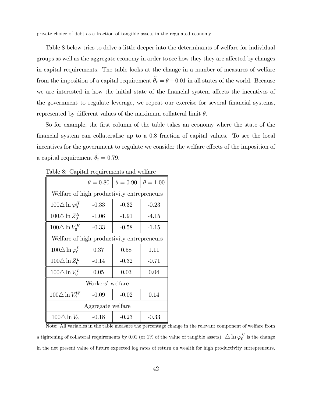private choice of debt as a fraction of tangible assets in the regulated economy.

Table 8 below tries to delve a little deeper into the determinants of welfare for individual groups as well as the aggregate economy in order to see how they they are affected by changes in capital requirements. The table looks at the change in a number of measures of welfare from the imposition of a capital requirement  $\tilde{\theta}_t = \theta - 0.01$  in all states of the world. Because we are interested in how the initial state of the financial system affects the incentives of the government to regulate leverage, we repeat our exercise for several financial systems, represented by different values of the maximum collateral limit  $\theta$ .

So for example, the first column of the table takes an economy where the state of the Önancial system can collateralise up to a 0:8 fraction of capital values. To see the local incentives for the government to regulate we consider the welfare effects of the imposition of a capital requirement  $\widetilde{\theta}_t = 0.79$ .

|                                            | $\theta = 0.80$  | $\theta=0.90$ | $\theta = 1.00$ |  |  |
|--------------------------------------------|------------------|---------------|-----------------|--|--|
| Welfare of high productivity entrepreneurs |                  |               |                 |  |  |
| $100\triangle \ln \varphi_0^H$             | $-0.33$          | $-0.32$       | $-0.23$         |  |  |
| $100\Delta \ln Z_0^H$                      | $-1.06$          | $-1.91$       | $-4.15$         |  |  |
| $100\triangle \ln V_0^H$                   | $-0.33$          | $-0.58$       | $-1.15$         |  |  |
| Welfare of high productivity entrepreneurs |                  |               |                 |  |  |
| $100\triangle \ln \varphi_0^L$             | 0.37             | 0.58          | 1.11            |  |  |
| $100\triangle \ln Z_0^L$                   | $-0.14$          | $-0.32$       | $-0.71$         |  |  |
| $100\Delta \ln V_0^L$                      | 0.05             | 0.03          | 0.04            |  |  |
|                                            | Workers' welfare |               |                 |  |  |
| $100\triangle \ln V_0^W$                   | $-0.09$          | $-0.02$       | 0.14            |  |  |
| Aggregate welfare                          |                  |               |                 |  |  |
| $100\triangle \ln V_0$                     | $-0.18$          | $-0.23$       | $-0.33$         |  |  |

Table 8: Capital requirements and welfare

Note: All variables in the table measure the percentage change in the relevant component of welfare from a tightening of collateral requirements by 0.01 (or 1% of the value of tangible assets).  $\triangle \ln \varphi_0^H$  is the change in the net present value of future expected log rates of return on wealth for high productivity entrepreneurs,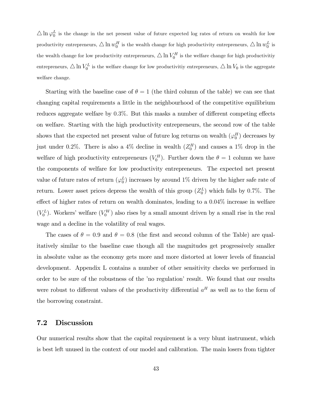$\triangle \ln \varphi_0^L$  is the change in the net present value of future expected log rates of return on wealth for low productivity entrepreneurs,  $\triangle \ln w_0^H$  is the wealth change for high productivity entrepreneurs,  $\triangle \ln w_0^L$  is the wealth change for low productivity entrepreneurs,  $\triangle \ln V_0^H$  is the welfare change for high productivitiy entrepreneurs,  $\triangle \ln V_0^L$  is the welfare change for low productivitiy entrepreneurs,  $\triangle \ln V_0$  is the aggregate welfare change.

Starting with the baseline case of  $\theta = 1$  (the third column of the table) we can see that changing capital requirements a little in the neighbourhood of the competitive equilibrium reduces aggregate welfare by  $0.3\%$ . But this masks a number of different competing effects on welfare. Starting with the high productivity entrepreneurs, the second row of the table shows that the expected net present value of future log returns on wealth  $(\varphi_0^H)$  decreases by just under 0.2%. There is also a 4% decline in wealth  $(Z_0^H)$  and causes a 1% drop in the welfare of high productivity entrepreneurs  $(V_0^H)$ . Further down the  $\theta = 1$  column we have the components of welfare for low productivity entrepreneurs. The expected net present value of future rates of return  $(\varphi_0^L)$  increases by around 1% driven by the higher safe rate of return. Lower asset prices depress the wealth of this group  $(Z_0^L)$  which falls by 0.7%. The effect of higher rates of return on wealth dominates, leading to a  $0.04\%$  increase in welfare  $(V_0^L)$ . Workers' welfare  $(V_0^W)$  also rises by a small amount driven by a small rise in the real wage and a decline in the volatility of real wages.

The cases of  $\theta = 0.9$  and  $\theta = 0.8$  (the first and second column of the Table) are qualitatively similar to the baseline case though all the magnitudes get progressively smaller in absolute value as the economy gets more and more distorted at lower levels of financial development. Appendix L contains a number of other sensitivity checks we performed in order to be sure of the robustness of the íno regulationí result. We found that our results were robust to different values of the productivity differential  $a<sup>H</sup>$  as well as to the form of the borrowing constraint.

### 7.2 Discussion

Our numerical results show that the capital requirement is a very blunt instrument, which is best left unused in the context of our model and calibration. The main losers from tighter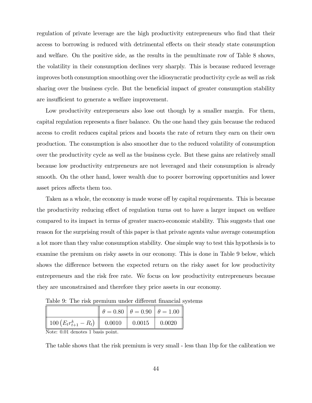regulation of private leverage are the high productivity entrepreneurs who find that their access to borrowing is reduced with detrimental effects on their steady state consumption and welfare. On the positive side, as the results in the penultimate row of Table 8 shows, the volatility in their consumption declines very sharply. This is because reduced leverage improves both consumption smoothing over the idiosyncratic productivity cycle as well as risk sharing over the business cycle. But the beneficial impact of greater consumption stability are insufficient to generate a welfare improvement.

Low productivity entrepreneurs also lose out though by a smaller margin. For them, capital regulation represents a finer balance. On the one hand they gain because the reduced access to credit reduces capital prices and boosts the rate of return they earn on their own production. The consumption is also smoother due to the reduced volatility of consumption over the productivity cycle as well as the business cycle. But these gains are relatively small because low productivity entrpreneurs are not leveraged and their consumption is already smooth. On the other hand, lower wealth due to poorer borrowing opportunities and lower asset prices affects them too.

Taken as a whole, the economy is made worse off by capital requirements. This is because the productivity reducing effect of regulation turns out to have a larger impact on welfare compared to its impact in terms of greater macro-economic stability. This suggests that one reason for the surprising result of this paper is that private agents value average consumption a lot more than they value consumption stability. One simple way to test this hypothesis is to examine the premium on risky assets in our economy. This is done in Table 9 below, which shows the difference between the expected return on the risky asset for low productivity entrepreneurs and the risk free rate. We focus on low productivity entrepreneurs because they are unconstrained and therefore they price assets in our economy.

Table 9: The risk premium under different financial systems

|                                                                 | $\ \theta = 0.80 \ \theta = 0.90 \ \theta = 1.00$ |                |        |  |  |
|-----------------------------------------------------------------|---------------------------------------------------|----------------|--------|--|--|
| $\parallel$ 100 $\left(E_tr_{t+1}^k-R_t\right)\parallel$ 0.0010 |                                                   | $\vert$ 0.0015 | 0.0020 |  |  |
| Noto: 0.01 dopotos 1 basis point                                |                                                   |                |        |  |  |

Note: 0.01 denotes 1 basis point.

The table shows that the risk premium is very small - less than 1bp for the calibration we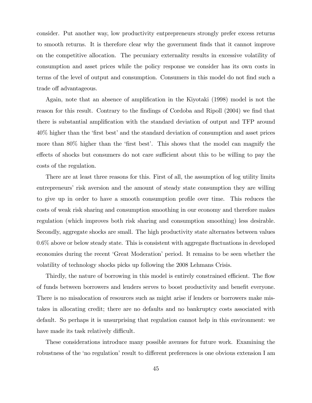consider. Put another way, low productivity entprepreneurs strongly prefer excess returns to smooth returns. It is therefore clear why the government Önds that it cannot improve on the competitive allocation. The pecuniary externality results in excessive volatility of consumption and asset prices while the policy response we consider has its own costs in terms of the level of output and consumption. Consumers in this model do not find such a trade off advantageous.

Again, note that an absence of amplification in the Kiyotaki (1998) model is not the reason for this result. Contrary to the findings of Cordoba and Ripoll (2004) we find that there is substantial amplification with the standard deviation of output and TFP around 40% higher than the 'first best' and the standard deviation of consumption and asset prices more than  $80\%$  higher than the 'first best'. This shows that the model can magnify the effects of shocks but consumers do not care sufficient about this to be willing to pay the costs of the regulation.

There are at least three reasons for this. First of all, the assumption of log utility limits entrepreneurs' risk aversion and the amount of steady state consumption they are willing to give up in order to have a smooth consumption profile over time. This reduces the costs of weak risk sharing and consumption smoothing in our economy and therefore makes regulation (which improves both risk sharing and consumption smoothing) less desirable. Secondly, aggregate shocks are small. The high productivity state alternates between values  $0.6\%$  above or below steady state. This is consistent with aggregate fluctuations in developed economies during the recent 'Great Moderation' period. It remains to be seen whether the volatility of technology shocks picks up following the 2008 Lehmans Crisis.

Thirdly, the nature of borrowing in this model is entirely constrained efficient. The flow of funds between borrowers and lenders serves to boost productivity and benefit everyone. There is no misalocation of resources such as might arise if lenders or borrowers make mistakes in allocating credit; there are no defaults and no bankruptcy costs associated with default. So perhaps it is unsurprising that regulation cannot help in this environment: we have made its task relatively difficult.

These considerations introduce many possible avenues for future work. Examining the robustness of the 'no regulation' result to different preferences is one obvious extension I am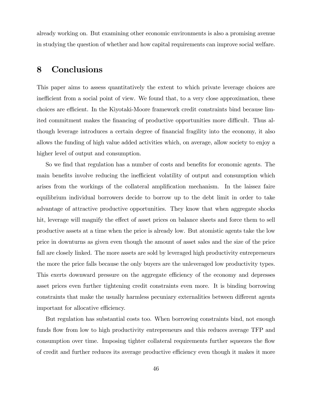already working on. But examining other economic environments is also a promising avenue in studying the question of whether and how capital requirements can improve social welfare.

# 8 Conclusions

This paper aims to assess quantitatively the extent to which private leverage choices are inefficient from a social point of view. We found that, to a very close approximation, these choices are efficient. In the Kiyotaki-Moore framework credit constraints bind because limited commitment makes the financing of productive opportunities more difficult. Thus although leverage introduces a certain degree of financial fragility into the economy, it also allows the funding of high value added activities which, on average, allow society to enjoy a higher level of output and consumption.

So we find that regulation has a number of costs and benefits for economic agents. The main benefits involve reducing the inefficient volatility of output and consumption which arises from the workings of the collateral amplification mechanism. In the laissez faire equilibrium individual borrowers decide to borrow up to the debt limit in order to take advantage of attractive productive opportunities. They know that when aggregate shocks hit, leverage will magnify the effect of asset prices on balance sheets and force them to sell productive assets at a time when the price is already low. But atomistic agents take the low price in downturns as given even though the amount of asset sales and the size of the price fall are closely linked. The more assets are sold by leveraged high productivity entrepreneurs the more the price falls because the only buyers are the unleveraged low productivity types. This exerts downward pressure on the aggregate efficiency of the economy and depresses asset prices even further tightening credit constraints even more. It is binding borrowing constraints that make the usually harmless pecuniary externalities between different agents important for allocative efficiency.

But regulation has substantial costs too. When borrowing constraints bind, not enough funds flow from low to high productivity entrepreneurs and this reduces average TFP and consumption over time. Imposing tighter collateral requirements further squeezes the flow of credit and further reduces its average productive efficiency even though it makes it more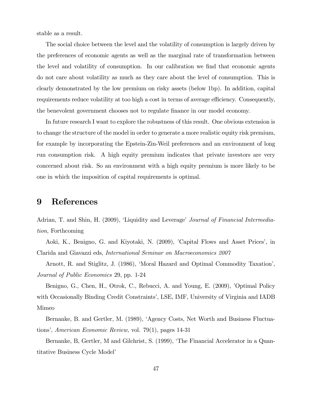stable as a result.

The social choice between the level and the volatility of consumption is largely driven by the preferences of economic agents as well as the marginal rate of transformation between the level and volatility of consumption. In our calibration we find that economic agents do not care about volatility as much as they care about the level of consumption. This is clearly demonstrated by the low premium on risky assets (below 1bp). In addition, capital requirements reduce volatility at too high a cost in terms of average efficiency. Consequently, the benevolent government chooses not to regulate finance in our model economy.

In future research I want to explore the robustness of this result. One obvious extension is to change the structure of the model in order to generate a more realistic equity risk premium, for example by incorporating the Epstein-Zin-Weil preferences and an environment of long run consumption risk. A high equity premium indicates that private investors are very concerned about risk. So an environment with a high equity premium is more likely to be one in which the imposition of capital requirements is optimal.

## 9 References

Adrian, T. and Shin, H. (2009), 'Liquidity and Leverage' Journal of Financial Intermediation, Forthcoming

Aoki, K., Benigno, G. and Kiyotaki, N. (2009), 'Capital Flows and Asset Prices', in Clarida and Giavazzi eds, International Seminar on Macroeconomics 2007

Arnott, R. and Stiglitz, J. (1986), 'Moral Hazard and Optimal Commodity Taxation', Journal of Public Economics 29, pp. 1-24

Benigno, G., Chen, H., Otrok, C., Rebucci, A. and Young, E. (2009), 'Optimal Policy with Occasionally Binding Credit Constraints', LSE, IMF, University of Virginia and IADB Mimeo

Bernanke, B. and Gertler, M. (1989), 'Agency Costs, Net Worth and Business Fluctuations', American Economic Review, vol. 79(1), pages  $14-31$ 

Bernanke, B, Gertler, M and Gilchrist, S. (1999), ëThe Financial Accelerator in a Quantitative Business Cycle Model'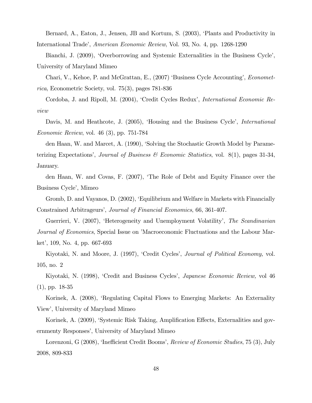Bernard, A., Eaton, J., Jensen, JB and Kortum, S. (2003), ëPlants and Productivity in International Tradeí, American Economic Review, Vol. 93, No. 4, pp. 1268-1290

Bianchi, J. (2009), 'Overborrowing and Systemic Externalities in the Business Cycle', University of Maryland Mimeo

Chari, V., Kehoe, P. and McGrattan, E., (2007) 'Business Cycle Accounting', *Economet*rica, Econometric Society, vol. 75(3), pages 781-836

Cordoba, J. and Ripoll, M. (2004), 'Credit Cycles Redux', *International Economic Re*view

Davis, M. and Heathcote, J. (2005), 'Housing and the Business Cycle', *International* Economic Review, vol. 46 (3), pp. 751-784

den Haan, W. and Marcet, A. (1990), 'Solving the Stochastic Growth Model by Parameterizing Expectations', Journal of Business  $\mathscr$  Economic Statistics, vol. 8(1), pages 31-34, January.

den Haan, W. and Covas, F. (2007), ëThe Role of Debt and Equity Finance over the Business Cycle', Mimeo

Gromb, D. and Vayanos, D. (2002), ëEquilibrium and Welfare in Markets with Financially Constrained Arbitrageurs', Journal of Financial Economics, 66, 361-407.

Guerrieri, V. (2007), 'Heterogeneity and Unemployment Volatility', The Scandinavian Journal of Economics, Special Issue on 'Macroeconomic Fluctuations and the Labour Market', 109, No. 4, pp. 667-693

Kiyotaki, N. and Moore, J. (1997), 'Credit Cycles', *Journal of Political Economy*, vol. 105, no. 2

Kiyotaki, N. (1998), 'Credit and Business Cycles', *Japanese Economic Review*, vol 46 (1), pp. 18-35

Korinek, A. (2008), ëRegulating Capital Flows to Emerging Markets: An Externality Viewí, University of Maryland Mimeo

Korinek, A. (2009), 'Systemic Risk Taking, Amplification Effects, Externalities and governmenty Responses', University of Maryland Mimeo

Lorenzoni, G (2008), 'Inefficient Credit Booms', *Review of Economic Studies*, 75 (3), July 2008, 809-833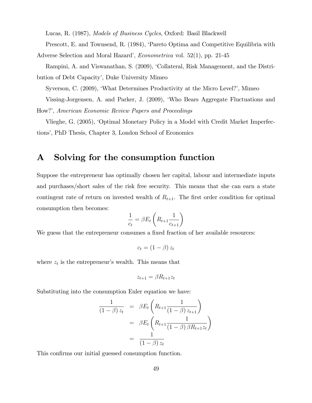Lucas, R. (1987), Models of Business Cycles, Oxford: Basil Blackwell Prescott, E. and Townsend, R. (1984), 'Pareto Optima and Competitive Equilibria with

Adverse Selection and Moral Hazard', *Econometrica* vol.  $52(1)$ , pp. 21-45 Rampini, A. and Viswanathan, S. (2009), 'Collateral, Risk Management, and the Distri-

bution of Debt Capacity', Duke University Mimeo

Syverson, C. (2009), ëWhat Determines Productivity at the Micro Level?í, Mimeo Vissing-Jorgensen, A. and Parker, J. (2009), ëWho Bears Aggregate Fluctuations and How?', American Economic Review Papers and Proceedings

Vlieghe, G. (2005), ëOptimal Monetary Policy in a Model with Credit Market Imperfections', PhD Thesis, Chapter 3, London School of Economics

# A Solving for the consumption function

Suppose the entrepreneur has optimally chosen her capital, labour and intermediate inputs and purchases/short sales of the risk free security. This means that she can earn a state contingent rate of return on invested wealth of  $R_{t+1}$ . The first order condition for optimal consumption then becomes:

$$
\frac{1}{c_t} = \beta E_t \left( R_{t+1} \frac{1}{c_{t+1}} \right)
$$

We guess that the entrepreneur consumes a fixed fraction of her available resources:

$$
c_t = (1-\beta)\,z_t
$$

where  $z_t$  is the entrepreneur's wealth. This means that

$$
z_{t+1} = \beta R_{t+1} z_t
$$

Substituting into the consumption Euler equation we have:

$$
\frac{1}{(1-\beta) z_t} = \beta E_t \left( R_{t+1} \frac{1}{(1-\beta) z_{t+1}} \right)
$$

$$
= \beta E_t \left( R_{t+1} \frac{1}{(1-\beta) \beta R_{t+1} z_t} \right)
$$

$$
= \frac{1}{(1-\beta) z_t}
$$

This confirms our initial guessed consumption function.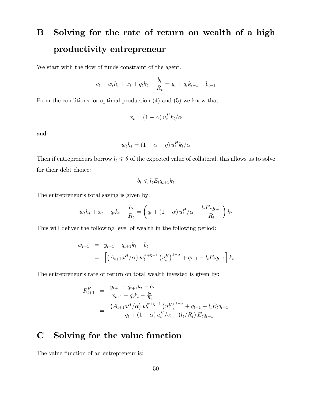# B Solving for the rate of return on wealth of a high productivity entrepreneur

We start with the flow of funds constraint of the agent.

$$
c_t + w_t h_t + x_t + q_t k_t - \frac{b_t}{R_t} = y_t + q_t k_{t-1} - b_{t-1}
$$

From the conditions for optimal production (4) and (5) we know that

$$
x_t = (1 - \alpha) u_t^H k_t / \alpha
$$

and

$$
w_t h_t = (1 - \alpha - \eta) u_t^H k_t / \alpha
$$

Then if entrepreneurs borrow  $l_t \leq \theta$  of the expected value of collateral, this allows us to solve for their debt choice:

$$
b_t \leqslant l_t E_t q_{t+1} k_t
$$

The entrepreneur's total saving is given by:

$$
w_t h_t + x_t + q_t k_t - \frac{b_t}{R_t} = \left( q_t + (1 - \alpha) u_t^H / \alpha - \frac{l_t E_t q_{t+1}}{R_t} \right) k_t
$$

This will deliver the following level of wealth in the following period:

$$
w_{t+1} = y_{t+1} + q_{t+1}k_t - b_t
$$
  
=  $\left[ \left( A_{t+1} a^H / \alpha \right) w_t^{\alpha + \eta - 1} \left( u_t^H \right)^{1-\alpha} + q_{t+1} - l_t E_t q_{t+1} \right] k_t$ 

The entrepreneur's rate of return on total wealth invested is given by:

$$
R_{t+1}^H = \frac{y_{t+1} + q_{t+1}k_t - b_t}{x_{t+1} + q_tk_t - \frac{b_t}{R_t}}
$$
  
= 
$$
\frac{(A_{t+1}a^H/\alpha) w_t^{\alpha+\eta-1} (u_t^H)^{1-\alpha} + q_{t+1} - l_t E_t q_{t+1}}{q_t + (1-\alpha) u_t^H/\alpha - (l_t/R_t) E_t q_{t+1}}
$$

# C Solving for the value function

The value function of an entrepreneur is: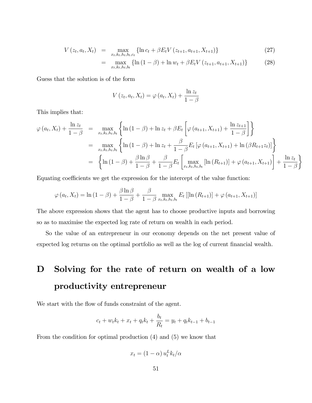$$
V(z_t, a_t, X_t) = \max_{x_t, k_t, h_t, b_t, c_t} \{ \ln c_t + \beta E_t V(z_{t+1}, a_{t+1}, X_{t+1}) \}
$$
(27)

$$
= \max_{x_t, k_t, h_t, b_t} \left\{ \ln \left( 1 - \beta \right) + \ln w_t + \beta E_t V \left( z_{t+1}, a_{t+1}, X_{t+1} \right) \right\} \tag{28}
$$

Guess that the solution is of the form

$$
V(z_t, a_t, X_t) = \varphi(a_t, X_t) + \frac{\ln z_t}{1 - \beta}
$$

This implies that:

$$
\varphi(a_{t}, X_{t}) + \frac{\ln z_{t}}{1 - \beta} = \max_{x_{t}, k_{t}, h_{t}, b_{t}} \left\{ \ln (1 - \beta) + \ln z_{t} + \beta E_{t} \left[ \varphi(a_{t+1}, X_{t+1}) + \frac{\ln z_{t+1}}{1 - \beta} \right] \right\}
$$
  
\n
$$
= \max_{x_{t}, k_{t}, h_{t}, b_{t}} \left\{ \ln (1 - \beta) + \ln z_{t} + \frac{\beta}{1 - \beta} E_{t} \left[ \varphi(a_{t+1}, X_{t+1}) + \ln (\beta R_{t+1} z_{t}) \right] \right\}
$$
  
\n
$$
= \left\{ \ln (1 - \beta) + \frac{\beta \ln \beta}{1 - \beta} + \frac{\beta}{1 - \beta} E_{t} \left[ \max_{x_{t}, k_{t}, h_{t}, b_{t}} \left[ \ln (R_{t+1}) \right] + \varphi(a_{t+1}, X_{t+1}) \right] + \frac{\ln z_{t}}{1 - \beta} \right\}
$$

Equating coefficients we get the expression for the intercept of the value function:

$$
\varphi(a_t, X_t) = \ln(1 - \beta) + \frac{\beta \ln \beta}{1 - \beta} + \frac{\beta}{1 - \beta} \max_{x_t, k_t, h_t, b_t} E_t [[\ln(R_{t+1})] + \varphi(a_{t+1}, X_{t+1})]
$$

The above expression shows that the agent has to choose productive inputs and borrowing so as to maximise the expected log rate of return on wealth in each period.

So the value of an entrepreneur in our economy depends on the net present value of expected log returns on the optimal portfolio as well as the log of current financial wealth.

# D Solving for the rate of return on wealth of a low productivity entrepreneur

We start with the flow of funds constraint of the agent.

$$
c_t + w_t k_t + x_t + q_t k_t + \frac{b_t}{R_t} = y_t + q_t k_{t-1} + b_{t-1}
$$

From the condition for optimal production (4) and (5) we know that

$$
x_t = (1 - \alpha) u_t^L k_t / \alpha
$$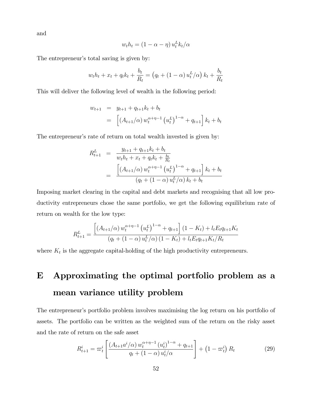and

$$
w_t h_t = (1 - \alpha - \eta) u_t^L k_t / \alpha
$$

The entrepreneur's total saving is given by:

$$
w_t h_t + x_t + q_t k_t + \frac{b_t}{R_t} = (q_t + (1 - \alpha) u_t^L / \alpha) k_t + \frac{b_t}{R_t}
$$

This will deliver the following level of wealth in the following period:

$$
w_{t+1} = y_{t+1} + q_{t+1}k_t + b_t
$$
  
=  $\left[ (A_{t+1}/\alpha) w_t^{\alpha+\eta-1} (u_t^L)^{1-\alpha} + q_{t+1} \right] k_t + b_t$ 

The entrepreneur's rate of return on total wealth invested is given by:

$$
R_{t+1}^{L} = \frac{y_{t+1} + q_{t+1}k_t + b_t}{w_t h_t + x_t + q_t k_t + \frac{b_t}{R_t}}
$$
  
= 
$$
\frac{\left[ (A_{t+1}/\alpha) w_t^{\alpha + \eta - 1} (u_t^L)^{1-\alpha} + q_{t+1} \right] k_t + b_t}{(q_t + (1-\alpha) u_t^L/\alpha) k_t + b_t}
$$

Imposing market clearing in the capital and debt markets and recognising that all low productivity entrepreneurs chose the same portfolio, we get the following equilibrium rate of return on wealth for the low type:

$$
R_{t+1}^{L} = \frac{\left[ \left( A_{t+1}/\alpha \right) w_t^{\alpha+\eta-1} \left( u_t^L \right)^{1-\alpha} + q_{t+1} \right] (1 - K_t) + l_t E_t q_{t+1} K_t}{\left( q_t + (1 - \alpha) u_t^L/\alpha \right) (1 - K_t) + l_t E_t q_{t+1} K_t/R_t}
$$

where  $K_t$  is the aggregate capital-holding of the high productivity entrepreneurs.

# E Approximating the optimal portfolio problem as a mean variance utility problem

The entrepreneur's portfolio problem involves maximising the log return on his portfolio of assets. The portfolio can be written as the weighted sum of the return on the risky asset and the rate of return on the safe asset

$$
R_{t+1}^{i} = \varpi_{t}^{i} \left[ \frac{\left( A_{t+1} a^{i} / \alpha \right) w_{t}^{\alpha + \eta - 1} \left( u_{t}^{i} \right)^{1 - \alpha} + q_{t+1}}{q_{t} + (1 - \alpha) u_{t}^{i} / \alpha} \right] + \left( 1 - \varpi_{t}^{i} \right) R_{t} \tag{29}
$$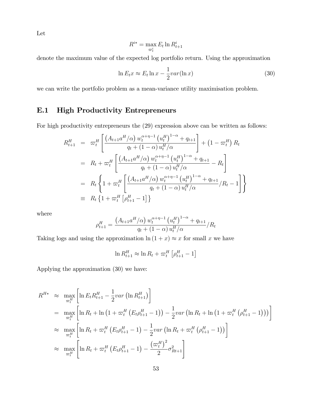Let

$$
R^{i*} = \max_{\varpi_t^i} E_t \ln R_{t+1}^i
$$

denote the maximum value of the expected log portfolio return. Using the approximation

$$
\ln E_t x \approx E_t \ln x - \frac{1}{2} \nu a r (\ln x) \tag{30}
$$

we can write the portfolio problem as a mean-variance utility maximisation problem.

# E.1 High Productivity Entrepreneurs

For high productivity entrepreneurs the (29) expression above can be written as follows:

$$
R_{t+1}^{H} = \varpi_{t}^{H} \left[ \frac{\left( A_{t+1} a^{H} / \alpha \right) w_{t}^{\alpha + \eta - 1} \left( u_{t}^{H} \right)^{1 - \alpha} + q_{t+1}}{q_{t} + (1 - \alpha) u_{t}^{H} / \alpha} \right] + \left( 1 - \varpi_{t}^{H} \right) R_{t}
$$
\n
$$
= R_{t} + \varpi_{t}^{H} \left[ \frac{\left( A_{t+1} a^{H} / \alpha \right) w_{t}^{\alpha + \eta - 1} \left( u_{t}^{H} \right)^{1 - \alpha} + q_{t+1}}{q_{t} + (1 - \alpha) u_{t}^{H} / \alpha} - R_{t} \right]
$$
\n
$$
= R_{t} \left\{ 1 + \varpi_{t}^{H} \left[ \frac{\left( A_{t+1} a^{H} / \alpha \right) w_{t}^{\alpha + \eta - 1} \left( u_{t}^{H} \right)^{1 - \alpha} + q_{t+1}}{q_{t} + (1 - \alpha) u_{t}^{H} / \alpha} / R_{t} - 1 \right] \right\}
$$
\n
$$
= R_{t} \left\{ 1 + \varpi_{t}^{H} \left[ \rho_{t+1}^{H} - 1 \right] \right\}
$$

where

$$
\rho_{t+1}^{H} = \frac{\left(A_{t+1}a^{H}/\alpha\right)w_{t}^{\alpha+\eta-1}\left(u_{t}^{H}\right)^{1-\alpha}+q_{t+1}}{q_{t}+\left(1-\alpha\right)u_{t}^{H}/\alpha} / R_{t}
$$

Taking logs and using the approximation  $\ln(1+x) \approx x$  for small x we have

$$
\ln R_{t+1}^H \approx \ln R_t + \varpi_t^H \left[ \rho_{t+1}^H - 1 \right]
$$

Applying the approximation (30) we have:

$$
R^{H*} \approx \max_{\varpi_t^H} \left[ \ln E_t R_{t+1}^H - \frac{1}{2} \text{var} \left( \ln R_{t+1}^H \right) \right]
$$
  
= 
$$
\max_{\varpi_t^H} \left[ \ln R_t + \ln \left( 1 + \varpi_t^H \left( E_t \rho_{t+1}^H - 1 \right) \right) - \frac{1}{2} \text{var} \left( \ln R_t + \ln \left( 1 + \varpi_t^H \left( \rho_{t+1}^H - 1 \right) \right) \right) \right]
$$
  

$$
\approx \max_{\varpi_t^H} \left[ \ln R_t + \varpi_t^H \left( E_t \rho_{t+1}^H - 1 \right) - \frac{1}{2} \text{var} \left( \ln R_t + \varpi_t^H \left( \rho_{t+1}^H - 1 \right) \right) \right]
$$
  

$$
\approx \max_{\varpi_t^H} \left[ \ln R_t + \varpi_t^H \left( E_t \rho_{t+1}^H - 1 \right) - \frac{\left( \varpi_t^H \right)^2}{2} \sigma_{Rt+1}^2 \right]
$$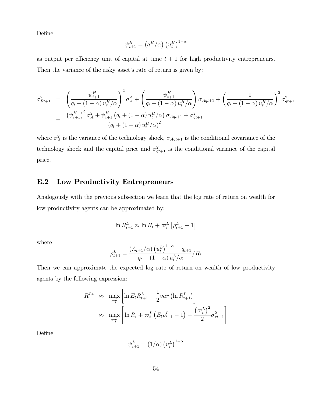DeÖne

$$
\psi_{t+1}^H = \left(a^H/\alpha\right) \left(u_t^H\right)^{1-\alpha}
$$

as output per efficiency unit of capital at time  $t + 1$  for high productivity entrepreneurs.

Then the variance of the risky asset's rate of return is given by:

$$
\sigma_{Rt+1}^{2} = \left(\frac{\psi_{t+1}^{H}}{q_{t} + (1 - \alpha) u_{t}^{H}/\alpha}\right)^{2} \sigma_{A}^{2} + \left(\frac{\psi_{t+1}^{H}}{q_{t} + (1 - \alpha) u_{t}^{H}/\alpha}\right) \sigma_{Aqt+1} + \left(\frac{1}{q_{t} + (1 - \alpha) u_{t}^{H}/\alpha}\right)^{2} \sigma_{qt+1}^{2}
$$
\n
$$
= \frac{\left(\psi_{t+1}^{H}\right)^{2} \sigma_{A}^{2} + \psi_{t+1}^{H} \left(q_{t} + (1 - \alpha) u_{t}^{H}/\alpha\right) \sigma_{Aqt+1} + \sigma_{qt+1}^{2}}{\left(q_{t} + (1 - \alpha) u_{t}^{H}/\alpha\right)^{2}}
$$

where  $\sigma_A^2$  is the variance of the technology shock,  $\sigma_{Aqt+1}$  is the conditional covariance of the technology shock and the capital price and  $\sigma_{qt+1}^2$  is the conditional variance of the capital price.

### E.2 Low Productivity Entrepreneurs

Analogously with the previous subsection we learn that the log rate of return on wealth for low productivity agents can be approximated by:

$$
\ln R^L_{t+1} \approx \ln R_t + \varpi^L_t \left[ \rho^L_{t+1} - 1 \right]
$$

where

$$
\rho_{t+1}^{L} = \frac{(A_{t+1}/\alpha) (u_t^L)^{1-\alpha} + q_{t+1}}{q_t + (1-\alpha) u_t^L/\alpha} / R_t
$$

Then we can approximate the expected log rate of return on wealth of low productivity agents by the following expression:

$$
R^{L*} \approx \max_{\varpi_t^L} \left[ \ln E_t R_{t+1}^L - \frac{1}{2} \nu a r \left( \ln R_{t+1}^L \right) \right]
$$

$$
\approx \max_{\varpi_t^L} \left[ \ln R_t + \varpi_t^L \left( E_t \rho_{t+1}^L - 1 \right) - \frac{\left( \varpi_t^L \right)^2}{2} \sigma_{rt+1}^2 \right]
$$

DeÖne

$$
\psi_{t+1}^L = (1/\alpha) (u_t^L)^{1-\alpha}
$$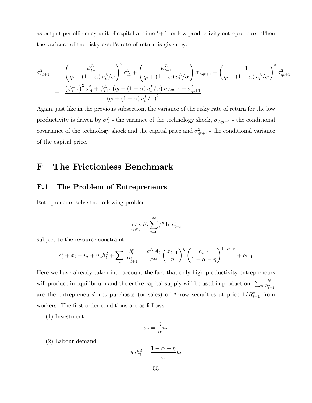as output per efficiency unit of capital at time  $t+1$  for low productivity entrepreneurs. Then the variance of the risky asset's rate of return is given by:

$$
\sigma_{rt+1}^{2} = \left(\frac{\psi_{t+1}^{L}}{q_{t} + (1 - \alpha) u_{t}^{L}/\alpha}\right)^{2} \sigma_{A}^{2} + \left(\frac{\psi_{t+1}^{L}}{q_{t} + (1 - \alpha) u_{t}^{L}/\alpha}\right) \sigma_{Aqt+1} + \left(\frac{1}{q_{t} + (1 - \alpha) u_{t}^{L}/\alpha}\right)^{2} \sigma_{qt+1}^{2}
$$
\n
$$
= \frac{\left(\psi_{t+1}^{L}\right)^{2} \sigma_{A}^{2} + \psi_{t+1}^{L} \left(q_{t} + (1 - \alpha) u_{t}^{L}/\alpha\right) \sigma_{Aqt+1} + \sigma_{qt+1}^{2}}{\left(q_{t} + (1 - \alpha) u_{t}^{L}/\alpha\right)^{2}}
$$

Again, just like in the previous subsection, the variance of the risky rate of return for the low productivity is driven by  $\sigma_A^2$  - the variance of the technology shock,  $\sigma_{Aqt+1}$  - the conditional covariance of the technology shock and the capital price and  $\sigma_{qt+1}^2$  - the conditional variance of the capital price.

# F The Frictionless Benchmark

### F.1 The Problem of Entrepreneurs

Entrepreneurs solve the following problem

$$
\max_{c_t, x_t} E_t \sum_{t=0}^{\infty} \beta^t \ln c_{t+s}^e
$$

subject to the resource constraint:

$$
c_t^e + x_t + u_t + w_t h_t^d + \sum_s \frac{b_t^s}{R_{t+1}^s} = \frac{a^H A_t}{\alpha^{\alpha}} \left(\frac{x_{t-1}}{\eta}\right)^{\eta} \left(\frac{h_{t-1}}{1-\alpha-\eta}\right)^{1-\alpha-\eta} + b_{t-1}
$$

Here we have already taken into account the fact that only high productivity entrepreneurs will produce in equilibrium and the entire capital supply will be used in production.  $\sum_{s}$  $\frac{b_t^s}{R_{t+1}^s}$ are the entrepreneurs' net purchases (or sales) of Arrow securities at price  $1/R_{t+1}^s$  from workers. The first order conditions are as follows:

(1) Investment

$$
x_t = \frac{\eta}{\alpha} u_t
$$

(2) Labour demand

$$
w_t h_t^d = \frac{1 - \alpha - \eta}{\alpha} u_t
$$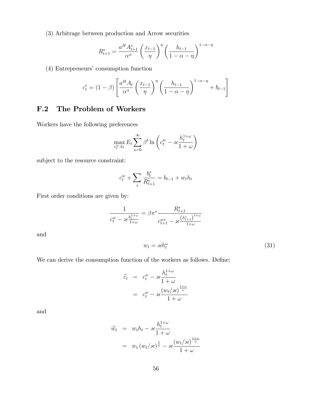(3) Arbitrage between production and Arrow securities

$$
R_{t+1}^s = \frac{a^H A_{t+1}^s}{\alpha^{\alpha}} \left(\frac{x_{t-1}}{\eta}\right)^{\eta} \left(\frac{h_{t-1}}{1-\alpha-\eta}\right)^{1-\alpha-\eta}
$$

(4) Entrepreneurs' consumption function

$$
c_t^e = (1 - \beta) \left[ \frac{a^H A_t}{\alpha^{\alpha}} \left( \frac{x_{t-1}}{\eta} \right)^{\eta} \left( \frac{h_{t-1}}{1 - \alpha - \eta} \right)^{1 - \alpha - \eta} + b_{t-1} \right]
$$

## F.2 The Problem of Workers

Workers have the following preferences

$$
\max_{c_t^w, h_t} E_t \sum_{s=0}^{\infty} \beta^t \ln \left( c_t^w - \varkappa \frac{h_t^{1+\omega}}{1+\omega} \right)
$$

subject to the resource constraint:

$$
c_t^w + \sum_s \frac{b_t^s}{R_{t+1}^s} = b_{t-1} + w_t h_t
$$

First order conditions are given by:

$$
\frac{1}{c_t^w - \varkappa \frac{h_t^{1+\omega}}{1+\omega}} = \beta \pi^s \frac{R_{t+1}^s}{c_{t+1}^{ws} - \varkappa \frac{\left(h_{t+1}^s\right)^{1+\omega}}{1+\omega}}
$$

and

$$
w_t = \varkappa h_t^{\omega} \tag{31}
$$

We can derive the consumption function of the workers as follows. Define:

$$
\begin{array}{rcl}\n\widetilde{c}_t & = & c_t^w - \varkappa \frac{h_t^{1+\omega}}{1+\omega} \\
& = & c_t^w - \varkappa \frac{\left(w_t/\varkappa\right)^{\frac{1+\omega}{\omega}}}{1+\omega}\n\end{array}
$$

and

$$
\widetilde{w}_t = w_t h_t - \varkappa \frac{h_t^{1+\omega}}{1+\omega} \n= w_t (w_t/\varkappa)^{\frac{1}{\omega}} - \varkappa \frac{(w_t/\varkappa)^{\frac{1+\omega}{\omega}}}{1+\omega}
$$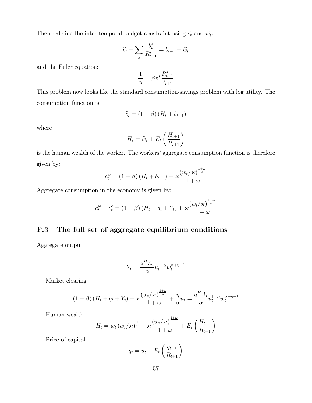Then redefine the inter-temporal budget constraint using  $\tilde{c}_t$  and  $\tilde{w}_t$ :

$$
\widetilde{c_t} + \sum_s \frac{b_t^s}{R_{t+1}^s} = b_{t-1} + \widetilde{w}_t
$$

and the Euler equation:

$$
\frac{1}{\widetilde{c_t}} = \beta \pi^s \frac{R_{t+1}^s}{\widetilde{c}_{t+1}}
$$

This problem now looks like the standard consumption-savings problem with log utility. The consumption function is:

$$
\widetilde{c_t} = (1 - \beta) \left( H_t + b_{t-1} \right)
$$

where

$$
H_t = \widetilde{w}_t + E_t \left(\frac{H_{t+1}}{R_{t+1}}\right)
$$

is the human wealth of the worker. The workers' aggregate consumption function is therefore given by:  $\ddot{\phantom{1}}$ 

$$
c_t^w = (1 - \beta) \left( H_t + b_{t-1} \right) + \varkappa \frac{\left( w_t / \varkappa \right)^{\frac{1 + \omega}{\omega}}}{1 + \omega}
$$

Aggregate consumption in the economy is given by:

$$
c_t^w + c_t^e = (1 - \beta) \left( H_t + q_t + Y_t \right) + \varkappa \frac{\left( w_t / \varkappa \right)^{\frac{1 + \omega}{\omega}}}{1 + \omega}
$$

## F.3 The full set of aggregate equilibrium conditions

Aggregate output

$$
Y_t = \frac{a^H A_t}{\alpha} u_t^{1-\alpha} w_t^{\alpha+\eta-1}
$$

Market clearing

$$
(1 - \beta) (H_t + q_t + Y_t) + \varkappa \frac{(w_t/\varkappa)^{\frac{1+\omega}{\omega}}}{1+\omega} + \frac{\eta}{\alpha} u_t = \frac{a^H A_t}{\alpha} u_t^{1-\alpha} w_t^{\alpha+\eta-1}
$$

Human wealth

$$
H_t = w_t (w_t / \varkappa)^{\frac{1}{\omega}} - \varkappa \frac{(w_t / \varkappa)^{\frac{1+\omega}{\omega}}}{1+\omega} + E_t \left( \frac{H_{t+1}}{R_{t+1}} \right)
$$

Price of capital

$$
q_t = u_t + E_t \left(\frac{q_{t+1}}{R_{t+1}}\right)
$$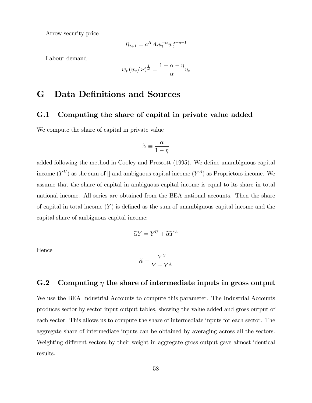Arrow security price

$$
R_{t+1} = a^H A_t u_t^{-\alpha} w_t^{\alpha + \eta - 1}
$$

Labour demand

$$
w_t (w_t / \varkappa)^{\frac{1}{\omega}} = \frac{1 - \alpha - \eta}{\alpha} u_t
$$

# G Data Definitions and Sources

### G.1 Computing the share of capital in private value added

We compute the share of capital in private value

$$
\widetilde{\alpha} \equiv \frac{\alpha}{1 - \eta}
$$

added following the method in Cooley and Prescott (1995). We define unambiguous capital income  $(Y^U)$  as the sum of [] and ambiguous capital income  $(Y^A)$  as Proprietors income. We assume that the share of capital in ambiguous capital income is equal to its share in total national income. All series are obtained from the BEA national accounts. Then the share of capital in total income  $(Y)$  is defined as the sum of unambiguous capital income and the capital share of ambiguous capital income:

$$
\widetilde{\alpha}Y = Y^U + \widetilde{\alpha}Y^A
$$

Hence

$$
\widetilde{\alpha} = \frac{Y^U}{Y - Y^A}
$$

## G.2 Computing  $\eta$  the share of intermediate inputs in gross output

We use the BEA Industrial Accounts to compute this parameter. The Industrial Accounts produces sector by sector input output tables, showing the value added and gross output of each sector. This allows us to compute the share of intermediate inputs for each sector. The aggregate share of intermediate inputs can be obtained by averaging across all the sectors. Weighting different sectors by their weight in aggregate gross output gave almost identical results.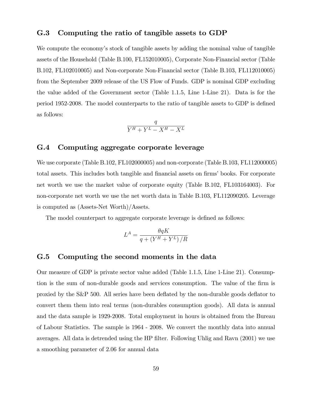### G.3 Computing the ratio of tangible assets to GDP

We compute the economy's stock of tangible assets by adding the nominal value of tangible assets of the Household (Table B.100, FL152010005), Corporate Non-Financial sector (Table B.102, FL102010005) and Non-corporate Non-Financial sector (Table B.103, FL112010005) from the September 2009 release of the US Flow of Funds. GDP is nominal GDP excluding the value added of the Government sector (Table 1.1.5, Line 1-Line 21). Data is for the period 1952-2008. The model counterparts to the ratio of tangible assets to GDP is defined as follows:

$$
\frac{q}{Y^H + Y^L - X^H - X^L}
$$

### G.4 Computing aggregate corporate leverage

We use corporate (Table B.102, FL102000005) and non-corporate (Table B.103, FL112000005) total assets. This includes both tangible and financial assets on firms' books. For corporate net worth we use the market value of corporate equity (Table B.102, FL103164003). For non-corporate net worth we use the net worth data in Table B.103, FL112090205. Leverage is computed as (Assets-Net Worth)/Assets.

The model counterpart to aggregate corporate leverage is defined as follows:

$$
L^{A} = \frac{\theta q K}{q + \left(Y^{H} + Y^{L}\right)/R}
$$

### G.5 Computing the second moments in the data

Our measure of GDP is private sector value added (Table 1.1.5, Line 1-Line 21). Consumption is the sum of non-durable goods and services consumption. The value of the firm is proxied by the S&P 500. All series have been deáated by the non-durable goods deáator to convert them them into real terms (non-durables consumption goods). All data is annual and the data sample is 1929-2008. Total employment in hours is obtained from the Bureau of Labour Statistics. The sample is 1964 - 2008. We convert the monthly data into annual averages. All data is detrended using the HP filter. Following Uhlig and Ravn (2001) we use a smoothing parameter of 2.06 for annual data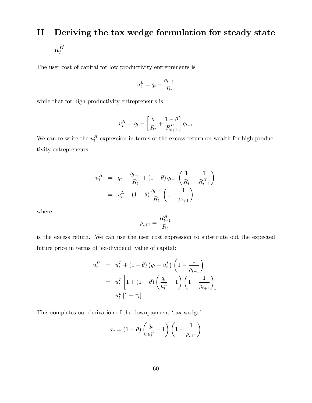# H Deriving the tax wedge formulation for steady state  $u_t^H$ t

The user cost of capital for low productivity entrepreneurs is

$$
u_t^L = q_t - \frac{q_{t+1}}{R_t}
$$

while that for high productivity entrepreneurs is

$$
u_t^H = q_t - \left[\frac{\theta}{R_t} + \frac{1-\theta}{R_{t+1}^H}\right]q_{t+1}
$$

We can re-write the  $u_t^H$  expression in terms of the excess return on wealth for high productivity entrepreneurs

$$
u_t^H = q_t - \frac{q_{t+1}}{R_t} + (1 - \theta) q_{t+1} \left( \frac{1}{R_t} - \frac{1}{R_{t+1}^H} \right)
$$
  
=  $u_t^L + (1 - \theta) \frac{q_{t+1}}{R_t} \left( 1 - \frac{1}{\rho_{t+1}} \right)$ 

where

$$
\rho_{t+1} = \frac{R_{t+1}^H}{R_t}
$$

is the excess return. We can use the user cost expression to substitute out the expected future price in terms of 'ex-dividend' value of capital:

$$
u_t^H = u_t^L + (1 - \theta) \left( q_t - u_t^L \right) \left( 1 - \frac{1}{\rho_{t+1}} \right)
$$
  
= 
$$
u_t^L \left[ 1 + (1 - \theta) \left( \frac{q_t}{u_t^L} - 1 \right) \left( 1 - \frac{1}{\rho_{t+1}} \right) \right]
$$
  
= 
$$
u_t^L \left[ 1 + \tau_t \right]
$$

This completes our derivation of the downpayment 'tax wedge':

$$
\tau_t = (1 - \theta) \left( \frac{q_t}{u_t^L} - 1 \right) \left( 1 - \frac{1}{\rho_{t+1}} \right)
$$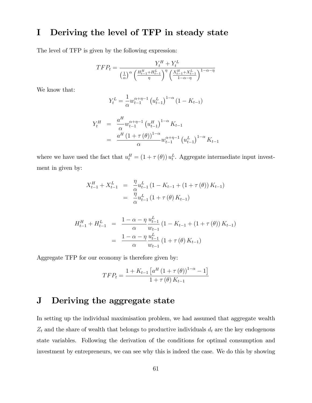# I Deriving the level of TFP in steady state

The level of TFP is given by the following expression:

$$
TFP_t = \frac{Y_t^H + Y_t^L}{\left(\frac{1}{\alpha}\right)^{\alpha} \left(\frac{H_{t-1}^H + H_{t-1}^L}{\eta}\right)^{\eta} \left(\frac{X_{t-1}^H + X_{t-1}^L}{1 - \alpha - \eta}\right)^{1 - \alpha - \eta}}
$$

We know that:

$$
Y_t^L = \frac{1}{\alpha} w_{t-1}^{\alpha + \eta - 1} \left( u_{t-1}^L \right)^{1-\alpha} \left( 1 - K_{t-1} \right)
$$

$$
Y_t^H = \frac{a^H}{\alpha} w_{t-1}^{\alpha+\eta-1} (u_{t-1}^H)^{1-\alpha} K_{t-1}
$$
  
= 
$$
\frac{a^H (1 + \tau(\theta))^{1-\alpha}}{\alpha} w_{t-1}^{\alpha+\eta-1} (u_{t-1}^L)^{1-\alpha} K_{t-1}
$$

where we have used the fact that  $u_t^H = (1 + \tau(\theta)) u_t^L$ . Aggregate intermediate input investment in given by:

$$
X_{t-1}^{H} + X_{t-1}^{L} = \frac{\eta}{\alpha} u_{t-1}^{L} (1 - K_{t-1} + (1 + \tau(\theta)) K_{t-1})
$$
  
= 
$$
\frac{\eta}{\alpha} u_{t-1}^{L} (1 + \tau(\theta) K_{t-1})
$$

$$
H_{t-1}^{H} + H_{t-1}^{L} = \frac{1 - \alpha - \eta}{\alpha} \frac{u_{t-1}^{L}}{w_{t-1}} \left( 1 - K_{t-1} + (1 + \tau(\theta)) K_{t-1} \right)
$$
  
= 
$$
\frac{1 - \alpha - \eta}{\alpha} \frac{u_{t-1}^{L}}{w_{t-1}} \left( 1 + \tau(\theta) K_{t-1} \right)
$$

Aggregate TFP for our economy is therefore given by:

$$
TFP_t = \frac{1 + K_{t-1} \left[ a^H \left( 1 + \tau(\theta) \right)^{1-\alpha} - 1 \right]}{1 + \tau(\theta) K_{t-1}}
$$

# J Deriving the aggregate state

In setting up the individual maximisation problem, we had assumed that aggregate wealth  $Z_t$  and the share of wealth that belongs to productive individuals  $d_t$  are the key endogenous state variables. Following the derivation of the conditions for optimal consumption and investment by entrepreneurs, we can see why this is indeed the case. We do this by showing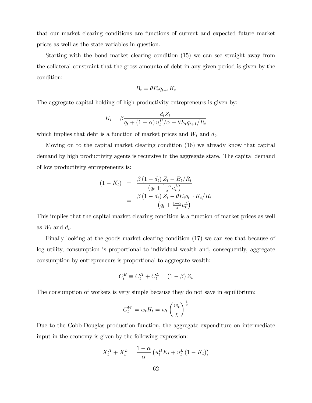that our market clearing conditions are functions of current and expected future market prices as well as the state variables in question.

Starting with the bond market clearing condition (15) we can see straight away from the collateral constraint that the gross amounto of debt in any given period is given by the condition:

$$
B_t = \theta E_t q_{t+1} K_t
$$

The aggregate capital holding of high productivity entrepreneurs is given by:

$$
K_t = \beta \frac{d_t Z_t}{q_t + (1 - \alpha) u_t^H / \alpha - \theta E_t q_{t+1} / R_t}
$$

which implies that debt is a function of market prices and  $W_t$  and  $d_t$ .

Moving on to the capital market clearing condition (16) we already know that capital demand by high productivity agents is recursive in the aggregate state. The capital demand of low productivity entrepreneurs is:

$$
(1 - K_t) = \frac{\beta (1 - d_t) Z_t - B_t / R_t}{(q_t + \frac{1 - \alpha}{\alpha} u_t^L)}
$$
  
= 
$$
\frac{\beta (1 - d_t) Z_t - \theta E_t q_{t+1} K_t / R_t}{(q_t + \frac{1 - \alpha}{\alpha} u_t^L)}
$$

This implies that the capital market clearing condition is a function of market prices as well as  $W_t$  and  $d_t$ .

Finally looking at the goods market clearing condition (17) we can see that because of log utility, consumption is proportional to individual wealth and, consequently, aggregate consumption by entrepreneurs is proportional to aggregate wealth:

$$
C_t^E \equiv C_t^H + C_t^L = (1 - \beta) Z_t
$$

The consumption of workers is very simple because they do not save in equilibrium:

$$
C_t^W = w_t H_t = w_t \left(\frac{w_t}{\chi}\right)^{\frac{1}{v}}
$$

Due to the Cobb-Douglas production function, the aggregate expenditure on intermediate input in the economy is given by the following expression:

$$
X_t^H + X_t^L = \frac{1-\alpha}{\alpha} \left( u_t^H K_t + u_t^L (1 - K_t) \right)
$$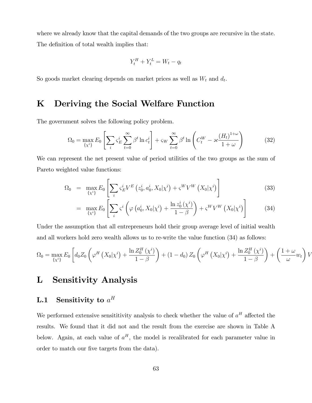where we already know that the capital demands of the two groups are recursive in the state. The definition of total wealth implies that:

$$
Y_t^H + Y_t^L = W_t - q_t
$$

So goods market clearing depends on market prices as well as  $W_t$  and  $d_t$ .

# K Deriving the Social Welfare Function

The government solves the following policy problem.

$$
\Omega_0 = \max_{\{x^i\}} E_0 \left[ \sum_i \varsigma_E^i \sum_{t=0}^\infty \beta^t \ln c_t^i \right] + \varsigma_W \sum_{t=0}^\infty \beta^t \ln \left( C_t^W - \varkappa \frac{(H_t)^{1+\omega}}{1+\omega} \right) \tag{32}
$$

We can represent the net present value of period utilities of the two groups as the sum of Pareto weighted value functions:

$$
\Omega_0 = \max_{\{\chi^i\}} E_0 \left[ \sum_i \varsigma^i_E V^E \left( z^i_0, a^i_0, X_0 | \chi^i \right) + \varsigma^W V^W \left( X_0 | \chi^i \right) \right] \tag{33}
$$

$$
= \max_{\{\chi^i\}} E_0 \left[ \sum_i \varsigma^i \left( \varphi \left( a_0^i, X_0 | \chi^i \right) + \frac{\ln z_0^i(\chi^i)}{1 - \beta} \right) + \varsigma^W V^W \left( X_0 | \chi^i \right) \right] \tag{34}
$$

Under the assumption that all entrepreneurs hold their group average level of initial wealth and all workers hold zero wealth allows us to re-write the value function (34) as follows:

$$
\Omega_0 = \max_{\{\chi^i\}} E_0 \left[ d_0 Z_0 \left( \varphi^H \left( X_0 | \chi^i \right) + \frac{\ln Z_0^H \left( \chi^i \right)}{1 - \beta} \right) + (1 - d_0) Z_0 \left( \varphi^H \left( X_0 | \chi^i \right) + \frac{\ln Z_0^H \left( \chi^i \right)}{1 - \beta} \right) + \left( \frac{1 + \omega}{\omega} w_t \right) \right]
$$

V

# L Sensitivity Analysis

# $\mathbf{L.1} \quad \mathbf{Sensitivity\ to\ } a^H$

We performed extensive sensititivity analysis to check whether the value of  $a<sup>H</sup>$  affected the results. We found that it did not and the result from the exercise are shown in Table A below. Again, at each value of  $a^H$ , the model is recalibrated for each parameter value in order to match our five targets from the data).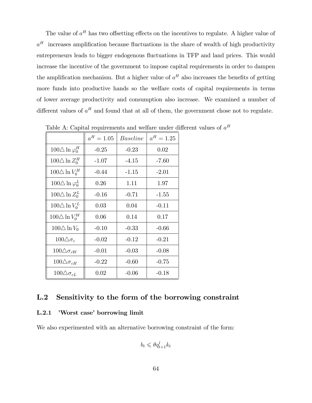The value of  $a^H$  has two offsetting effects on the incentives to regulate. A higher value of  $a<sup>H</sup>$  increases amplification because fluctuations in the share of wealth of high productivity entrepreneurs leads to bigger endogenous fluctuations in TFP and land prices. This would increase the incentive of the government to impose capital requirements in order to dampen the amplification mechanism. But a higher value of  $a<sup>H</sup>$  also increases the benefits of getting more funds into productive hands so the welfare costs of capital requirements in terms of lower average productivity and consumption also increase. We examined a number of different values of  $a^H$  and found that at all of them, the government chose not to regulate.

|                             | $a^H = 1.05$ | <i>Baseline</i> | $a^H = 1.25$ |
|-----------------------------|--------------|-----------------|--------------|
| $100\Delta \ln \varphi_0^H$ | $-0.25$      | $-0.23$         | 0.02         |
| $100\Delta \ln Z_0^H$       | $-1.07$      | $-4.15$         | $-7.60$      |
| $100\triangle \ln V_0^H$    | $-0.44$      | $-1.15$         | $-2.01$      |
| $100\Delta \ln \varphi_0^L$ | 0.26         | 1.11            | 1.97         |
| $100\triangle \ln Z_0^L$    | $-0.16$      | $-0.71$         | $-1.55$      |
| $100\triangle \ln V_0^L$    | 0.03         | 0.04            | $-0.11$      |
| $100\triangle \ln V_0^W$    | 0.06         | 0.14            | 0.17         |
| $100\triangle \ln V_0$      | $-0.10$      | $-0.33$         | $-0.66$      |
| $100\Delta\sigma_c$         | $-0.02$      | $-0.12$         | $-0.21$      |
| $100\Delta\sigma_{cW}$      | $-0.01$      | $-0.03$         | $-0.08$      |
| $100\Delta\sigma_{cH}$      | $-0.22$      | $-0.60$         | $-0.75$      |
| $100\Delta\sigma_{cL}$      | 0.02         | $-0.06$         | $-0.18$      |

Table A: Capital requirements and welfare under different values of  $a<sup>H</sup>$ 

## L.2 Sensitivity to the form of the borrowing constraint

#### L.2.1 *Norst case* borrowing limit

We also experimented with an alternative borrowing constraint of the form:

$$
b_t \leqslant \theta q_{t+1}^l k_t
$$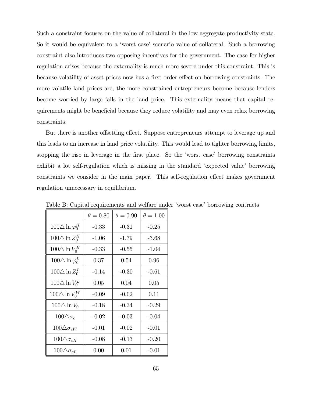Such a constraint focuses on the value of collateral in the low aggregate productivity state. So it would be equivalent to a 'worst case' scenario value of collateral. Such a borrowing constraint also introduces two opposing incentives for the government. The case for higher regulation arises because the externality is much more severe under this constraint. This is because volatility of asset prices now has a first order effect on borrowing constraints. The more volatile land prices are, the more constrained entrepreneurs become because lenders become worried by large falls in the land price. This externality means that capital requirements might be beneficial because they reduce volatility and may even relax borrowing constraints.

But there is another offsetting effect. Suppose entrepreneurs attempt to leverage up and this leads to an increase in land price volatility. This would lead to tighter borrowing limits, stopping the rise in leverage in the first place. So the 'worst case' borrowing constraints exhibit a lot self-regulation which is missing in the standard 'expected value' borrowing constraints we consider in the main paper. This self-regulation effect makes government regulation unnecessary in equilibrium.

|                             | $\theta = 0.80$ | $\theta = 0.90$ | $\theta = 1.00$ |
|-----------------------------|-----------------|-----------------|-----------------|
| $100\Delta \ln \varphi_0^H$ | $-0.33$         | $-0.31$         | $-0.25$         |
| $100\triangle \ln Z_0^H$    | $-1.06$         | $-1.79$         | $-3.68$         |
| $100\Delta \ln V_0^H$       | $-0.33$         | $-0.55$         | $-1.04$         |
| $100\Delta \ln \varphi_0^L$ | 0.37            | 0.54            | 0.96            |
| $100\triangle \ln Z_0^L$    | $-0.14$         | $-0.30$         | $-0.61$         |
| $100\Delta \ln V_0^L$       | 0.05            | 0.04            | 0.05            |
| $100\triangle \ln V_0^W$    | $-0.09$         | $-0.02$         | 0.11            |
| $100\Delta \ln V_0$         | $-0.18$         | $-0.34$         | $-0.29$         |
| $100\Delta\sigma_c$         | $-0.02$         | $-0.03$         | $-0.04$         |
| $100 \triangle \sigma_{cW}$ | $-0.01$         | $-0.02$         | $-0.01$         |
| $100\Delta\sigma_{cH}$      | $-0.08$         | $-0.13$         | $-0.20$         |
| $100\Delta\sigma_{cL}$      | 0.00            | 0.01            | $-0.01$         |

Table B: Capital requirements and welfare under 'worst case' borrowing contracts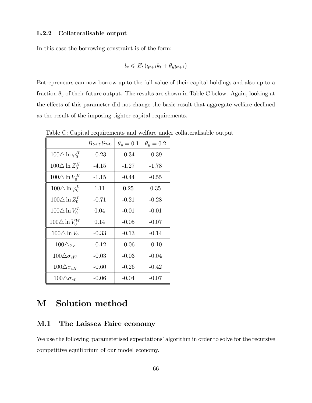### L.2.2 Collateralisable output

In this case the borrowing constraint is of the form:

$$
b_t \leqslant E_t \left( q_{t+1} k_t + \theta_y y_{t+1} \right)
$$

Entrepreneurs can now borrow up to the full value of their capital holdings and also up to a fraction  $\theta_y$  of their future output. The results are shown in Table C below. Again, looking at the effects of this parameter did not change the basic result that aggregate welfare declined as the result of the imposing tighter capital requirements.

|                             | Baseline | $\theta_y=0.1$ | $\theta_u = 0.2$ |
|-----------------------------|----------|----------------|------------------|
| $100\Delta \ln \varphi_0^H$ | $-0.23$  | $-0.34$        | $-0.39$          |
| $100\triangle \ln Z_0^H$    | $-4.15$  | $-1.27$        | $-1.78$          |
| $100\triangle \ln V_0^H$    | $-1.15$  | $-0.44$        | $-0.55$          |
| $100\Delta \ln \varphi_0^L$ | 1.11     | 0.25           | 0.35             |
| $100\triangle \ln Z_0^L$    | $-0.71$  | $-0.21$        | $-0.28$          |
| $100\Delta \ln V_0^L$       | 0.04     | $-0.01$        | $-0.01$          |
| $100\triangle \ln V_0^W$    | 0.14     | $-0.05$        | $-0.07$          |
| $100\Delta \ln V_0$         | $-0.33$  | $-0.13$        | $-0.14$          |
| $100\Delta\sigma_c$         | $-0.12$  | $-0.06$        | $-0.10$          |
| $100 \triangle \sigma_{cW}$ | $-0.03$  | $-0.03$        | $-0.04$          |
| $100\Delta\sigma_{cH}$      | $-0.60$  | $-0.26$        | $-0.42$          |
| $100\Delta\sigma_{cL}$      | $-0.06$  | $-0.04$        | $-0.07$          |

Table C: Capital requirements and welfare under collateralisable output

# M Solution method

### M.1 The Laissez Faire economy

We use the following 'parameterised expectations' algorithm in order to solve for the recursive competitive equilibrium of our model economy.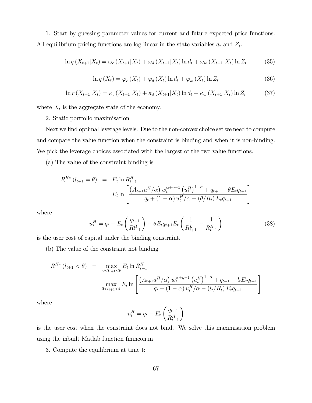1. Start by guessing parameter values for current and future expected price functions. All equilibrium pricing functions are log linear in the state variables  $d_t$  and  $Z_t$ .

$$
\ln q\left(X_{t+1}|X_t\right) = \omega_c\left(X_{t+1}|X_t\right) + \omega_d\left(X_{t+1}|X_t\right)\ln d_t + \omega_w\left(X_{t+1}|X_t\right)\ln Z_t\tag{35}
$$

$$
\ln q\left(X_t\right) = \varphi_c\left(X_t\right) + \varphi_d\left(X_t\right)\ln d_t + \varphi_w\left(X_t\right)\ln Z_t \tag{36}
$$

$$
\ln r(X_{t+1}|X_t) = \kappa_c(X_{t+1}|X_t) + \kappa_d(X_{t+1}|X_t) \ln d_t + \kappa_w(X_{t+1}|X_t) \ln Z_t \tag{37}
$$

where  $X_t$  is the aggregate state of the economy.

2. Static portfolio maximisation

Next we find optimal leverage levels. Due to the non-convex choice set we need to compute and compare the value function when the constraint is binding and when it is non-binding. We pick the leverage choices associated with the largest of the two value functions.

(a) The value of the constraint binding is

$$
R^{H*} (l_{t+1} = \theta) = E_t \ln R_{t+1}^H
$$
  
= 
$$
E_t \ln \left[ \frac{\left( A_{t+1} a^H / \alpha \right) w_t^{\alpha + \eta - 1} \left( u_t^H \right)^{1 - \alpha} + q_{t+1} - \theta E_t q_{t+1}}{q_t + (1 - \alpha) u_t^H / \alpha - (\theta / R_t) E_t q_{t+1}} \right]
$$

where

$$
u_t^H = q_t - E_t \left(\frac{q_{t+1}}{R_{t+1}^H}\right) - \theta E_t q_{t+1} E_t \left(\frac{1}{R_{t+1}^L} - \frac{1}{R_{t+1}^H}\right) \tag{38}
$$

is the user cost of capital under the binding constraint.

(b) The value of the constraint not binding

$$
R^{H*} (l_{t+1} < \theta) = \max_{0 < l_{t+1} < \theta} E_t \ln R_{t+1}^H
$$
  
= 
$$
\max_{0 < l_{t+1} < \theta} E_t \ln \left[ \frac{(A_{t+1} a^H / \alpha) w_t^{\alpha+\eta-1} (u_t^H)^{1-\alpha} + q_{t+1} - l_t E_t q_{t+1}}{q_t + (1-\alpha) u_t^H / \alpha - (l_t / R_t) E_t q_{t+1}} \right]
$$

where

$$
u_t^H = q_t - E_t \left(\frac{q_{t+1}}{R_{t+1}^H}\right)
$$

is the user cost when the constraint does not bind. We solve this maximisation problem using the inbuilt Matlab function fmincon.m

3. Compute the equilibrium at time t: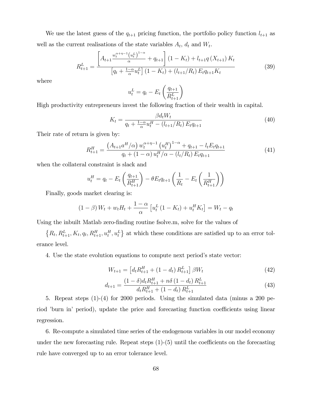We use the latest guess of the  $q_{t+1}$  pricing function, the portfolio policy function  $l_{t+1}$  as well as the current realisations of the state variables  $A_t$ ,  $d_t$  and  $W_t$ .

$$
R_{t+1}^{L} = \frac{\left[A_{t+1} \frac{w_t^{\alpha+\eta-1} (u_t^L)^{1-\alpha}}{\alpha} + q_{t+1}\right] (1 - K_t) + l_{t+1} q\left(X_{t+1}\right) K_t}{\left[q_t + \frac{1-\alpha}{\alpha} u_t^L\right] (1 - K_t) + (l_{t+1}/R_t) E_t q_{t+1} K_t} \tag{39}
$$

where

$$
u_t^L = q_t - E_t \left(\frac{q_{t+1}}{R_{t+1}^L}\right)
$$

High productivity entrepreneurs invest the following fraction of their wealth in capital.

$$
K_t = \frac{\beta d_t W_t}{q_t + \frac{1-\alpha}{\alpha} u_t^H - (l_{t+1}/R_t) E_t q_{t+1}}
$$
(40)

Their rate of return is given by:

$$
R_{t+1}^{H} = \frac{\left(A_{t+1}a^{H}/\alpha\right)w_t^{\alpha+\eta-1}\left(u_t^H\right)^{1-\alpha} + q_{t+1} - l_t E_t q_{t+1}}{q_t + \left(1-\alpha\right)u_t^H/\alpha - \left(l_t/R_t\right)E_t q_{t+1}}
$$
\n
$$
\tag{41}
$$

when the collateral constraint is slack and

$$
u_t^H = q_t - E_t \left(\frac{q_{t+1}}{R_{t+1}^H}\right) - \theta E_t q_{t+1} \left(\frac{1}{R_t} - E_t \left(\frac{1}{R_{t+1}^H}\right)\right)
$$

Finally, goods market clearing is:

$$
(1 - \beta) W_t + w_t H_t + \frac{1 - \alpha}{\alpha} \left[ u_t^L (1 - K_t) + u_t^H K_t \right] = W_t - q_t
$$

Using the inbuilt Matlab zero-finding routine fsolve.m, solve for the values of

 $\{R_t, R_{t+1}^L, K_t, q_t, R_{t+1}^H, u_t^H, u_t^L\}$  at which these conditions are satisfied up to an error tolerance level.

4. Use the state evolution equations to compute next periodís state vector:

$$
W_{t+1} = \left[ d_t R_{t+1}^H + (1 - d_t) R_{t+1}^L \right] \beta W_t \tag{42}
$$

$$
d_{t+1} = \frac{(1 - \delta)d_t R_{t+1}^H + n\delta(1 - d_t) R_{t+1}^L}{d_t R_{t+1}^H + (1 - d_t) R_{t+1}^L}
$$
(43)

5. Repeat steps (1)-(4) for 2000 periods. Using the simulated data (minus a 200 period 'burn in' period), update the price and forecasting function coefficients using linear regression.

6. Re-compute a simulated time series of the endogenous variables in our model economy under the new forecasting rule. Repeat steps  $(1)$ - $(5)$  until the coefficients on the forecasting rule have converged up to an error tolerance level.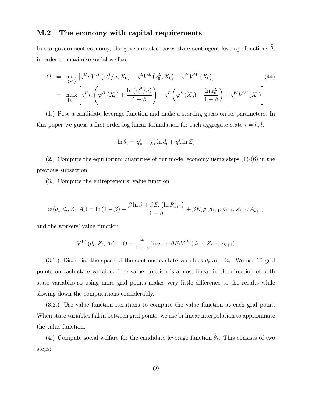### M.2 The economy with capital requirements

In our government economy, the government chooses state contingent leverage functions  $\tilde{\theta}_t$ in order to maximise social welfare

$$
\Omega = \max_{\{x^i\}} \left[ \zeta^H n V^H \left( z_0^H / n, X_0 \right) + \zeta^L V^L \left( z_0^L, X_0 \right) + \zeta^W V^W \left( X_0 \right) \right]
$$
\n
$$
= \max_{\{x^i\}} \left[ \zeta^H n \left( \varphi^H \left( X_0 \right) + \frac{\ln \left( z_0^H / n \right)}{1 - \beta} \right) + \zeta^L \left( \varphi^L \left( X_0 \right) + \frac{\ln z_0^L}{1 - \beta} \right) + \zeta^W V^W \left( X_0 \right) \right]
$$
\n(44)

(1.) Pose a candidate leverage function and make a starting guess on its parameters. In this paper we guess a first order log-linear formulation for each aggregate state  $i = h, l$ .

$$
\ln \widetilde{\theta}_t = \chi_0^i + \chi_1^i \ln d_t + \chi_2^i \ln Z_t
$$

(2.) Compute the equilibrium quantities of our model economy using steps (1)-(6) in the previous subsection

(3.) Compute the entrepreneurs' value function

$$
\varphi(a_t, d_t, Z_t, A_t) = \ln(1 - \beta) + \frac{\beta \ln \beta + \beta E_t (\ln R_{t+1}^i)}{1 - \beta} + \beta E_t \varphi(a_{t+1}, d_{t+1}, Z_{t+1}, A_{t+1})
$$

and the workers' value function

$$
V^{W}(d_{t}, Z_{t}, A_{t}) = \Theta + \frac{\omega}{1 + \omega} \ln w_{t} + \beta E_{t} V^{W}(d_{t+1}, Z_{t+1}, A_{t+1})
$$

 $(3.1.)$  Discretise the space of the continuous state variables  $d_t$  and  $Z_t$ . We use 10 grid points on each state variable. The value function is almost linear in the direction of both state variables so using more grid points makes very little difference to the results while slowing down the computations considerably.

(3.2.) Use value function iterations to compute the value function at each grid point. When state variables fall in between grid points, we use bi-linear interpolation to approximate the value function.

(4.) Compute social welfare for the candidate leverage function  $\theta_t$ . This consists of two steps: